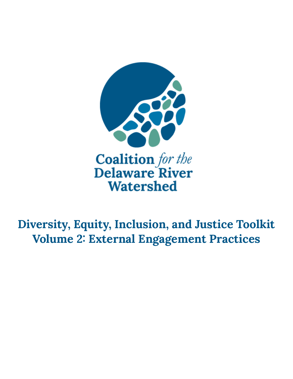

**Diversity, Equity, Inclusion, and Justice Toolkit Volume 2: External Engagement Practices**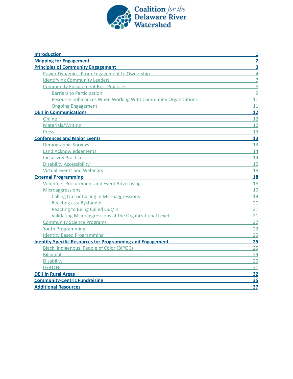

| <b>Introduction</b>                                                                                                                                                                                                                  | 1              |
|--------------------------------------------------------------------------------------------------------------------------------------------------------------------------------------------------------------------------------------|----------------|
| <b>Mapping for Engagement</b>                                                                                                                                                                                                        | $\overline{2}$ |
| <b>Principles of Community Engagement</b>                                                                                                                                                                                            | 3              |
| <b>Power Dynamics: From Engagement to Ownership Power Communist Communist Communist Communist Communist Communist Communist Communist Communist Communist Communist Communist Communist Communist Communist Communist Communist </b> | $\overline{4}$ |
| <b>Identifying Community Leaders</b><br><u> 1980 - Jan Stein, amerikansk politiker (d. 1980)</u>                                                                                                                                     | $\overline{7}$ |
| <b>Community Engagement Best Practices Community Engagement Best Practices</b>                                                                                                                                                       | $\overline{8}$ |
| <b>Barriers to Participation</b>                                                                                                                                                                                                     | 9              |
| Resource Imbalances When Working With Community Organizations                                                                                                                                                                        | 11             |
| <b>Ongoing Engagement</b>                                                                                                                                                                                                            | 11             |
| <b>DEIJ in Communications</b>                                                                                                                                                                                                        | 12             |
| Online                                                                                                                                                                                                                               | 12             |
| Materials/Writing <b>Materials</b> Anti-                                                                                                                                                                                             | 12             |
| <b>Press</b>                                                                                                                                                                                                                         | 13             |
| <b>Conferences and Major Events Conferences and Major Events</b>                                                                                                                                                                     | 13             |
| <b>Demographic Surveys</b><br><u> 1989 - Johann Barbara, martxa eta politikaria (h. 1989).</u>                                                                                                                                       | 13             |
| Land Acknowledgements and the contract of the contract of the contract of the contract of the contract of the contract of the contract of the contract of the contract of the contract of the contract of the contract of the        | 14             |
| <b>Inclusivity Practices</b><br><u> 1989 - John Stein, Amerikaansk politiker (* 1908)</u>                                                                                                                                            | 14             |
| Disability Accessibility <b>Example 20</b> and 20 and 20 and 20 and 20 and 20 and 20 and 20 and 20 and 20 and 20 and 20 and 20 and 20 and 20 and 20 and 20 and 20 and 20 and 20 and 20 and 20 and 20 and 20 and 20 and 20 and 20 an  | 15             |
| Virtual Events and Webinars Manual According to the United States of the United States and Webinars                                                                                                                                  | 18             |
| <b>External Programming</b>                                                                                                                                                                                                          | 18             |
| Volunteer Procurement and Event Advertising Number 2014 19:30 Number 2014                                                                                                                                                            | 18             |
| <b>Microaggressions</b>                                                                                                                                                                                                              | 19             |
| <b>Calling Out or Calling In Microaggressions</b>                                                                                                                                                                                    | 19             |
| Reacting as a Bystander                                                                                                                                                                                                              | 20             |
| Reacting to Being Called Out/In                                                                                                                                                                                                      | 21             |
| Validating Microaggressions at the Organizational Level                                                                                                                                                                              | 21             |
| <b>Community Science Programs</b>                                                                                                                                                                                                    | 22             |
| <b>Youth Programming</b>                                                                                                                                                                                                             | 23             |
| <b>Identity Based Programming</b>                                                                                                                                                                                                    | 25             |
| Identity-Specific Resources for Programming and Engagement Material Account of the United States and States and                                                                                                                      | 25             |
| Black, Indigenous, People of Color (BIPOC)<br><u> 1980 - John Stein, mars and de Britain and de Britain and de Britain and de Britain and de Britain and de Br</u>                                                                   | 25             |
| <b>Bilingual</b><br><u> 1989 - Johann Stein, mars an deutscher Stein und der Stein und der Stein und der Stein und der Stein und der</u>                                                                                             | 29             |
| <b>Disability</b><br>and the control of the control of the control of the control of the control of the control of the control of the                                                                                                | 29             |
| LGBTQ+<br>the control of the control of the control of the control of the control of the control of                                                                                                                                  | 31             |
| <b>DEIJ in Rural Areas</b><br>the control of the control of the control of the control of the control of the control of                                                                                                              | 32             |
| <b>Community-Centric Fundraising</b>                                                                                                                                                                                                 | 35             |
| <b>Additional Resources</b>                                                                                                                                                                                                          | 37             |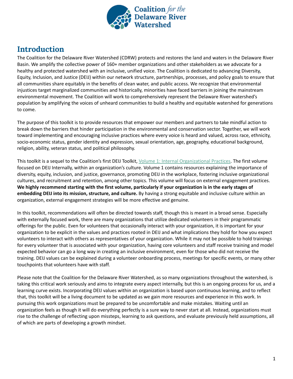

## <span id="page-2-0"></span>**Introduction**

The Coalition for the Delaware River Watershed (CDRW) protects and restores the land and waters in the Delaware River Basin. We amplify the collective power of 160+ member organizations and other stakeholders as we advocate for a healthy and protected watershed with an inclusive, unified voice. The Coalition is dedicated to advancing Diversity, Equity, Inclusion, and Justice (DEIJ) within our network structure, partnerships, processes, and policy goals to ensure that all communities share equitably in the benefits of clean water, and public access. We recognize that environmental injustices target marginalized communities and historically, minorities have faced barriers in joining the mainstream environmental movement. The Coalition will work to comprehensively represent the Delaware River watershed's population by amplifying the voices of unheard communities to build a healthy and equitable watershed for generations to come.

The purpose of this toolkit is to provide resources that empower our members and partners to take mindful action to break down the barriers that hinder participation in the environmental and conservation sector. Together, we will work toward implementing and encouraging inclusive practices where every voice is heard and valued, across race, ethnicity, socio-economic status, gender identity and expression, sexual orientation, age, geography, educational background, religion, ability, veteran status, and political philosophy.

This toolkit is a sequel to the Coalition's first DEIJ Toolkit, Volume 1: Internal [Organizational](https://docs.google.com/document/d/1kB43CqTD_7DFu7gAQkRbDtDfXn4ClqWg_dQNGRBRR3w/edit#) Practices. The first volume focused on DEIJ Internally, within an organization's culture. Volume 1 contains resources explaining the importance of diversity, equity, inclusion, and justice, governance, promoting DEIJ in the workplace, fostering inclusive organizational cultures, and recruitment and retention, among other topics. This volume will focus on external engagement practices. We highly recommend starting with the first volume, particularly if your organization is in the early stages of **embedding DEIJ into its mission, structure, and culture.** By having a strong equitable and inclusive culture within an organization, external engagement strategies will be more effective and genuine.

In this toolkit, recommendations will often be directed towards staff, though this is meant in a broad sense. Especially with externally focused work, there are many organizations that utilize dedicated volunteers in their programmatic offerings for the public. Even for volunteers that occasionally interact with your organization, it is important for your organization to be explicit in the values and practices rooted in DEIJ and what implications they hold for how you expect volunteers to interact with others as representatives of your organization. While it may not be possible to hold trainings for every volunteer that is associated with your organization, having core volunteers and staff receive training and model expected behavior can go a long way in creating an inclusive environment, even for those who did not receive the training. DEIJ values can be explained during a volunteer onboarding process, meetings for specific events, or many other touchpoints that volunteers have with staff.

Please note that the Coalition for the Delaware River Watershed, as so many organizations throughout the watershed, is taking this critical work seriously and aims to integrate every aspect internally, but this is an ongoing process for us, and a learning curve exists. Incorporating DEIJ values within an organization is based upon continuous learning, and to reflect that, this toolkit will be a living document to be updated as we gain more resources and experience in this work. In pursuing this work organizations must be prepared to be uncomfortable and make mistakes. Waiting until an organization feels as though it will do everything perfectly is a sure way to never start at all. Instead, organizations must rise to the challenge of reflecting upon missteps, learning to ask questions, and evaluate previously held assumptions, all of which are parts of developing a growth mindset.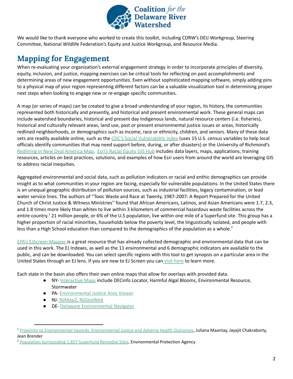

We would like to thank everyone who worked to create this toolkit, including CDRW's DEIJ Workgroup, Steering Committee, National Wildlife Federation's Equity and Justice Workgroup, and Resource Media.

# <span id="page-3-0"></span>**Mapping for Engagement**

When re-evaluating your organization's external engagement strategy in order to incorporate principles of diversity, equity, inclusion, and justice, mapping exercises can be critical tools for reflecting on past accomplishments and determining areas of new engagement opportunities. Even without sophisticated mapping software, simply adding pins to a physical map of your region representing different factors can be a valuable visualization tool in determining proper next steps when looking to engage new or re-engage specific communities.

A map (or series of maps) can be created to give a broad understanding of your region, its history, the communities represented both historically and presently, and historical and present environmental work. These general maps can include watershed boundaries, historical and present day Indigenous lands, natural resource centers (i.e. fisheries), historical and culturally relevant areas, land use, past or present environmental justice issues or areas, historically redlined neighborhoods, or demographics such as income, race or ethnicity, children, and seniors. Many of these data sets are readily available online, such as the CDC's Social [Vulnerability](https://www.atsdr.cdc.gov/placeandhealth/svi/index.html) Index (uses 15 U.S. census variables to help local officials identify communities that may need support before, during, or after disasters) or the University of Richmond's [Redlining](https://dsl.richmond.edu/panorama/redlining/#loc=4/41.223/-105.503) in New Deal America Map. Esri's Racial [Equity](https://gis-for-racialequity.hub.arcgis.com/#data-racialequity) GIS Hub includes data layers, maps, applications, training resources, articles on best practices, solutions, and examples of how Esri users from around the world are leveraging GIS to address racial inequities.

Aggregated environmental and social data, such as pollution indicators or racial and enthic demographics can provide insight as to what communities in your region are facing, especially for vulnerable populations. In the United States there is an unequal geographic distribution of pollution sources, such as industrial facilities, legacy contamination, or lead water service lines. The authors of "Toxic Waste and Race at Twenty, 1987-2007: A Report Prepared for the United Church of Christ Justice & Witness Ministries'' found that African Americans, Latinos, and Asian Americans were 1.7, 2.3, and 1.8 times more likely than whites to live within 3 kilometers of commercial hazardous waste facilities across the entire country.<sup>1</sup> 21 million people, or 6% of the U.S population, live within one mile of a Superfund site. This group has a higher proportion of racial minorities, households below the poverty level, the linguistically isolated, and people with less than a High School education than compared to the demographics of the population as a whole.<sup>2</sup>

EPA's [EJScreen](https://ejscreen.epa.gov/mapper/) Mapper is a great resource that has already collected demographic and environmental data that can be used in this work. The EJ Indexes, as well as the 11 environmental and 6 demographic indicators are available to the public, and can be downloaded. You can select specific regions with this tool to get synopsis on a particular area in the United States through an EJ lens. If you are new to EJ Screen you can visit [here](https://www.epa.gov/ejscreen/learn-use-ejscreen) to learn more.

Each state in the basin also offers their own online maps that allow for overlays with provided data.

- NY- [Interactive](https://www.dec.ny.gov/pubs/42937.html) Maps include DECinfo Locator, Harmful Algal Blooms, Environmental Resource, **Stormwater**
- PA- [Environmental](https://padep-1.maps.arcgis.com/apps/webappviewer/index.html?id=f31a188de122467691cae93c3339469c) Justice Area Viewer
- NJ- [NJMap2](https://www.njmap2.com/), [NJGeoWeb](https://njdep.maps.arcgis.com/apps/webappviewer/index.html?id=02251e521d97454aabadfd8cf168e44d)
- DE- Delaware [Environmental](https://maps.dnrec.delaware.gov/navmap/) Navigator

<sup>2</sup> Population [Surrounding](https://www.epa.gov/sites/production/files/2015-09/documents/webpopulationrsuperfundsites9.28.15.pdf) 1,857 Superfund Remedial Sites, Environmental Protection Agency

<sup>&</sup>lt;sup>1</sup> Proximity to [Environmental](https://archive.epa.gov/ncer/ej/web/pdf/brender.pdf) Hazards: Environmental Justice and Adverse Health Outcomes, Juliana Maantay, Jayajit Chakraborty, Jean Brender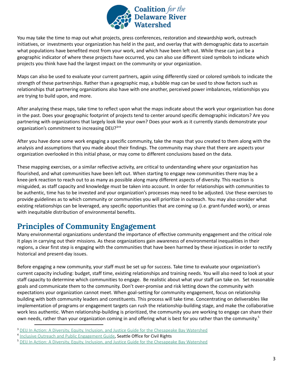

You may take the time to map out what projects, press conferences, restoration and stewardship work, outreach initiatives, or investments your organization has held in the past, and overlay that with demographic data to ascertain what populations have benefited most from your work, and which have been left out. While these can just be a geographic indicator of where these projects have occurred, you can also use different sized symbols to indicate which projects you think have had the largest impact on the community or your organization.

Maps can also be used to evaluate your current partners, again using differently sized or colored symbols to indicate the strength of these partnerships. Rather than a geographic map, a bubble map can be used to show factors such as relationships that partnering organizations also have with one another, perceived power imbalances, relationships you are trying to build upon, and more.

After analyzing these maps, take time to reflect upon what the maps indicate about the work your organization has done in the past. Does your geographic footprint of projects tend to center around specific demographic indicators? Are you partnering with organizations that largely look like your own? Does your work as it currently stands demonstrate your organization's commitment to increasing DEIJ?<sup>3,4</sup>

After you have done some work engaging a specific community, take the maps that you created to them along with the analysis and assumptions that you made about their findings. The community may share that there are aspects your organization overlooked in this initial phase, or may come to different conclusions based on the data.

These mapping exercises, or a similar reflective activity, are critical to understanding where your organization has flourished, and what communities have been left out. When starting to engage new communities there may be a knee-jerk reaction to reach out to as many as possible along many different aspects of diversity. This reaction is misguided, as staff capacity and knowledge must be taken into account. In order for relationships with communities to be authentic, time has to be invested and your organization's processes may need to be adjusted. Use these exercises to provide guidelines as to which community or communities you will prioritize in outreach. You may also consider what existing relationships can be leveraged, any specific opportunities that are coming up (i.e. grant-funded work), or areas with inequitable distribution of environmental benefits.

# <span id="page-4-0"></span>**Principles of Community Engagement**

Many environmental organizations understand the importance of effective community engagement and the critical role it plays in carrying out their missions. As these organizations gain awareness of environmental inequalities in their regions, a clear first step is engaging with the communities that have been harmed by these injustices in order to rectify historical and present-day issues.

Before engaging a new community, your staff must be set up for success. Take time to evaluate your organization's current capacity including: budget, staff time, existing relationships and training needs. You will also need to look at your staff capacity to determine which communities to engage. Be realistic about what your staff can take on. Set reasonable goals and communicate them to the community. Don't over-promise and risk letting down the community with expectations your organization cannot meet. When goal-setting for community engagement, focus on relationship building with both community leaders and constituents. This process will take time. Concentrating on deliverables like implementation of programs or engagement targets can rush the relationship-building stage, and make the collaborative work less authentic. When relationship-building is prioritized, the community you are working to engage can share their own needs, rather than your organization coming in and offering what is best for you rather than the community.<sup>5</sup>

<sup>&</sup>lt;sup>3</sup> DEIJ In Action: A Diversity, Equity, Inclusion, and Justice Guide for the [Chesapeake](https://drive.google.com/drive/folders/1GYbIg2EWwSEJe7pcU3zGEpGQDUWK2CS3) Bay Watershed

<sup>&</sup>lt;sup>4</sup> Inclusive Outreach and Public [Engagement](http://www.seattle.gov/Documents/Departments/Neighborhoods/PPatch/Inclusive-Outreach-and-Public-Engagement-Guide.pdf) Guide, Seattle Office for Civil Rights

<sup>&</sup>lt;sup>5</sup> DEIJ In Action: A Diversity, Equity, Inclusion, and Justice Guide for the [Chesapeake](https://drive.google.com/drive/folders/1GYbIg2EWwSEJe7pcU3zGEpGQDUWK2CS3) Bay Watershed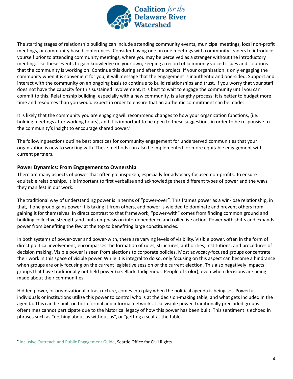

The starting stages of relationship building can include attending community events, municipal meetings, local non-profit meetings, or community based conferences. Consider having one on one meetings with community leaders to introduce yourself prior to attending community meetings, where you may be perceived as a stranger without the introductory meeting. Use these events to gain knowledge on your own, keeping a record of commonly voiced issues and solutions that the community is working on. Continue this during and after the project. If your organization is only engaging the community when it is convenient for you, it will message that the engagement is inauthentic and one-sided. Support and interact with the community on an ongoing basis to continue to build relationships and trust. If you worry that your staff does not have the capacity for this sustained involvement, it is best to wait to engage the community until you can commit to this. Relationship building, especially with a new community, is a lengthy process; it is better to budget more time and resources than you would expect in order to ensure that an authentic commitment can be made.

It is likely that the community you are engaging will recommend changes to how your organization functions, (i.e. holding meetings after working hours), and it is important to be open to these suggestions in order to be responsive to the community's insight to encourage shared power. 6

The following sections outline best practices for community engagement for underserved communities that your organization is new to working with. These methods can also be implemented for more equitable engagement with current partners.

### <span id="page-5-0"></span>**Power Dynamics: From Engagement to Ownership**

There are many aspects of power that often go unspoken, especially for advocacy-focused non-profits. To ensure equitable relationships, it is important to first verbalize and acknowledge these different types of power and the ways they manifest in our work.

The traditional way of understanding power is in terms of "power-over". This frames power as a win-lose relationship, in that, if one group gains power it is taking it from others, and power is wielded to dominate and prevent others from gaining it for themselves. In direct contrast to that framework, "power-with" comes from finding common ground and building collective strength,and puts emphasis on interdependence and collective action. Power-with shifts and expands power from benefiting the few at the top to benefiting large constituencies.

In both systems of power-over and power-with, there are varying levels of visibility. Visible power, often in the form of direct political involvement, encompasses the formation of rules, structures, authorities, institutions, and procedures of decision making. Visible power is seen from elections to corporate policies. Most advocacy-focused groups concentrate their work in this space of visible power. While it is integral to do so, only focusing on this aspect can become a hindrance when groups are only focusing on the current legislative session or the current election. This also negatively impacts groups that have traditionally not held power (i.e. Black, Indigenous, People of Color), even when decisions are being made about their communities.

Hidden power, or organizational infrastructure, comes into play when the political agenda is being set. Powerful individuals or institutions utilize this power to control who is at the decision-making table, and what gets included in the agenda. This can be built on both formal and informal networks. Like visible power, traditionally precluded groups oftentimes cannot participate due to the historical legacy of how this power has been built. This sentiment is echoed in phrases such as "nothing about us without us", or "getting a seat at the table".

<sup>&</sup>lt;sup>6</sup> Inclusive Outreach and Public [Engagement](http://www.seattle.gov/Documents/Departments/Neighborhoods/PPatch/Inclusive-Outreach-and-Public-Engagement-Guide.pdf) Guide, Seattle Office for Civil Rights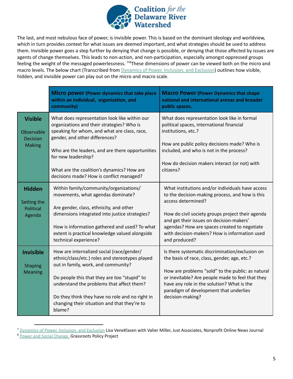

The last, and most nebulous face of power, is invisible power. This is based on the dominant ideology and worldview, which in turn provides context for what issues are deemed important, and what strategies should be used to address them. Invisible power goes a step further by denying that change is possible, or denying that those affected by issues are agents of change themselves. This leads to non-action, and non-participation, especially amongst oppressed groups feeling the weight of the messaged powerlessness. <sup>718</sup>These dimensions of power can be viewed both on the micro and macro levels. The below chart (Transcribed from *[Dynamics](http://intergroupresources.com/rc/RESOURCE%20CENTER/OWEN) of Power, Inclusion, and Exclusion*) outlines how visible, hidden, and invisible power can play out on the micro and macro scale.

|                                                                  | Micro power (Power dynamics that take place<br>within an individual, organization, and<br>community)                                                                                                                                                                                                                                          | <b>Macro Power (Power Dynamics that shape</b><br>national and international arenas and broader<br>public spaces.                                                                                                                                                                                                                            |  |  |
|------------------------------------------------------------------|-----------------------------------------------------------------------------------------------------------------------------------------------------------------------------------------------------------------------------------------------------------------------------------------------------------------------------------------------|---------------------------------------------------------------------------------------------------------------------------------------------------------------------------------------------------------------------------------------------------------------------------------------------------------------------------------------------|--|--|
| <b>Visible</b><br>Observable<br><b>Decision</b><br><b>Making</b> | What does representation look like within our<br>organizations and their strategies? Who is<br>speaking for whom, and what are class, race,<br>gender, and other differences?<br>Who are the leaders, and are there opportunities                                                                                                             | What does representation look like in formal<br>political spaces, international financial<br>institutions, etc.?<br>How are public policy decisions made? Who is<br>included, and who is not in the process?                                                                                                                                |  |  |
|                                                                  | for new leadership?<br>What are the coalition's dynamics? How are<br>decisions made? How is conflict managed?                                                                                                                                                                                                                                 | How do decision makers interact (or not) with<br>citizens?                                                                                                                                                                                                                                                                                  |  |  |
| <b>Hidden</b><br>Setting the<br><b>Political</b><br>Agenda       | Within family/community/organizations/<br>movements, what agendas dominate?<br>Are gender, class, ethnicity, and other<br>dimensions integrated into justice strategies?<br>How is information gathered and used? To what<br>extent is practical knowledge valued alongside<br>technical experience?                                          | What institutions and/or individuals have access<br>to the decision-making process, and how is this<br>access determined?<br>How do civil society groups project their agenda<br>and get their issues on decision-makers'<br>agendas? How are spaces created to negotiate<br>with decision-makers? How is information used<br>and produced? |  |  |
| <b>Invisible</b><br><b>Shaping</b><br><b>Meaning</b>             | How are internalized social (race/gender/<br>ethnic/class/etc.) roles and stereotypes played<br>out in family, work, and community?<br>Do people this that they are too "stupid" to<br>understand the problems that affect them?<br>Do they think they have no role and no right in<br>changing their situation and that they're to<br>blame? | Is there systematic discrimination/exclusion on<br>the basis of race, class, gender, age, etc.?<br>How are problems "sold" to the public: as natural<br>or inevitable? Are people made to feel that they<br>have any role in the solution? What is the<br>paradigm of development that underlies<br>decision-making?                        |  |  |

<sup>&</sup>lt;sup>7</sup> [Dynamics](http://intergroupresources.com/rc/RESOURCE%20CENTER/OWEN) of Power, Inclusion, and Exclusion Lisa VeneKlasen with Valier Miller, Just Associates, Nonprofit Online News Journal

<sup>&</sup>lt;sup>8</sup> Power and Social [Change](http://intergroupresources.com/rc/RESOURCE%20CENTER/OWEN) Grassroots Policy Project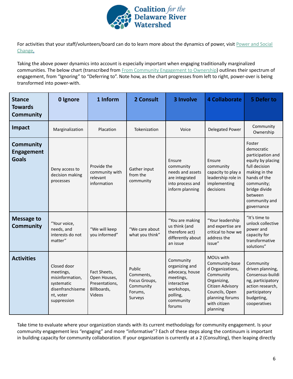

For activities that your staff/volunteers/board can do to learn more about the dynamics of power, visit [Power](http://intergroupresources.com/rc/RESOURCE%20CENTER/OWEN) and Social [Change](http://intergroupresources.com/rc/RESOURCE%20CENTER/OWEN).

Taking the above power dynamics into account is especially important when engaging traditionally marginalized communities. The below chart (transcribed from From Community [Engagement](https://www.providenceri.gov/wp-content/uploads/2019/10/community_engagement_to_ownership_-_tools_and_case_studies_final-1.pdf) to Ownership) outlines their spectrum of engagement, from "Ignoring" to "Deferring to". Note how, as the chart progresses from left to right, power-over is being transformed into power-with.

| <b>Stance</b><br><b>Towards</b><br><b>Community</b>   | 0 Ignore                                                                                                  | 1 Inform                                                                | 2 Consult                                                               | 3 Involve                                                                                                                   | <b>4 Collaborate</b>                                                                                                                                             | 5 Defer to                                                                                                                                                                                |
|-------------------------------------------------------|-----------------------------------------------------------------------------------------------------------|-------------------------------------------------------------------------|-------------------------------------------------------------------------|-----------------------------------------------------------------------------------------------------------------------------|------------------------------------------------------------------------------------------------------------------------------------------------------------------|-------------------------------------------------------------------------------------------------------------------------------------------------------------------------------------------|
| Impact                                                | Marginalization                                                                                           | Placation                                                               | Tokenization                                                            | Voice                                                                                                                       | <b>Delegated Power</b>                                                                                                                                           | Community<br>Ownership                                                                                                                                                                    |
| <b>Community</b><br><b>Engagement</b><br><b>Goals</b> | Deny access to<br>decision making<br>processes                                                            | Provide the<br>community with<br>relevant<br>information                | Gather input<br>from the<br>community                                   | Ensure<br>community<br>needs and assets<br>are integrated<br>into process and<br>inform planning                            | Ensure<br>community<br>capacity to play a<br>leadership role in<br>implementing<br>decisions                                                                     | Foster<br>democratic<br>participation and<br>equity by placing<br>full decision<br>making in the<br>hands of the<br>community;<br>bridge divide<br>between<br>community and<br>governance |
| <b>Message to</b><br><b>Community</b>                 | "Your voice,<br>needs, and<br>interests do not<br>matter"                                                 | "We will keep<br>you informed"                                          | "We care about<br>what you think"                                       | "You are making<br>us think (and<br>therefore act)<br>differently about<br>an issue                                         | "Your leadership<br>and expertise are<br>critical to how we<br>address the<br>issue"                                                                             | "It's time to<br>unlock collective<br>power and<br>capacity for<br>transformative<br>solutions"                                                                                           |
| <b>Activities</b>                                     | Closed door<br>meetings,<br>misinformation,<br>systematic<br>disenfranchiseme<br>nt, voter<br>suppression | Fact Sheets,<br>Open Houses,<br>Presentations,<br>Billboards,<br>Videos | Public<br>Comments,<br>Focus Groups,<br>Community<br>Forums,<br>Surveys | Community<br>organizing and<br>advocacy, house<br>meetings,<br>interactive<br>workshops,<br>polling,<br>community<br>forums | MOUs with<br>Community-base<br>d Organizations,<br>Community<br>Organizing,<br>Citizen Advisory<br>Councils, Open<br>planning forums<br>with citizen<br>planning | Community<br>driven planning,<br>Consensus-buildi<br>ng, participatory<br>action research,<br>participatory<br>budgeting,<br>cooperatives                                                 |

Take time to evaluate where your organization stands with its current methodology for community engagement. Is your community engagement less "engaging" and more "informative"? Each of these steps along the continuum is important in building capacity for community collaboration. If your organization is currently at a 2 (Consulting), then leaping directly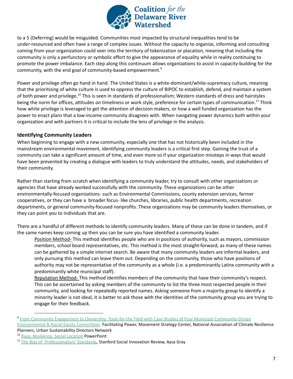

to a 5 (Deferring) would be misguided. Communities most impacted by structural inequalities tend to be under-resourced and often have a range of complex issues. Without the capacity to organize, informing and consulting coming from your organization could veer into the territory of tokenization or placation, meaning that including the community is only a perfunctory or symbolic effort to give the appearance of equality while in reality continuing to promote the power imbalance. Each step along this continuum allows organizations to assist in capacity-building for the community, with the end goal of community-based empowerment.<sup>9</sup>

Power and privilege often go hand in hand. The United States is a white-dominant/white-supremacy culture, meaning that the prioritizing of white culture is used to oppress the culture of BIPOC to establish, defend, and maintain a system of both power and privilege.<sup>10</sup> This is seen in standards of professionalism; Western standards of dress and hairstyles being the norm for offices, attitudes on timeliness or work style, preference for certain types of communication.<sup>11</sup> Think how white privilege is leveraged to get the attention of decision makers, or how a well funded organization has the power to enact plans that a low-income community disagrees with. When navigating power dynamics both within your organization and with partners it is critical to include the lens of privilege in the analysis.

### <span id="page-8-0"></span>**Identifying Community Leaders**

When beginning to engage with a new community, especially one that has not historically been included in the mainstream environmental movement, identifying community leaders is a critical first step. Gaining the trust of a community can take a significant amount of time, and even more so if your organization missteps in ways that would have been prevented by creating a dialogue with leaders to truly understand the attitudes, needs, and stakeholders of their community.

Rather than starting from scratch when identifying a community leader, try to consult with other organizations or agencies that have already worked successfully with the community. These organizations can be other environmentally-focused organizations- such as Environmental Commissions, county extension services, farmer cooperatives, or they can have a broader focus- like churches, libraries, public health departments, recreation departments, or general community-focused nonprofits. These organizations may be community leaders themselves, or they can point you to individuals that are.

There are a handful of different methods to identify community leaders. Many of these can be done in tandem, and if the same names keep coming up then you can be sure you have identified a community leader.

Position Method- This method identifies people who are in positions of authority, such as mayors, commission members, school board representatives, etc. This method is the most straight-forward, as many of these names can be gathered by a simple internet search. Be aware that many community leaders are informal leaders, and only pursuing this method can leave them out. Depending on the community, those who have positions of authority may not be representative of the community as a whole (i.e. a predominantly Latinx community with a predominantly white municipal staff).

Reputation Method- This method identifies members of the community that have their community's respect. This can be ascertained by asking members of the community to list the three most respected people in their community, and looking for repeatedly reported names. Asking someone from a majority group to identify a minority leader is not ideal, it is better to ask those with the identities of the community group you are trying to engage for their feedback.

<sup>9</sup> From Community Engagement to Ownership: Tools for the Field with Case Studies of Four Municipal [Community-Driven](https://www.providenceri.gov/wp-content/uploads/2019/10/community_engagement_to_ownership_-_tools_and_case_studies_final-1.pdf)

[Environmental](https://www.providenceri.gov/wp-content/uploads/2019/10/community_engagement_to_ownership_-_tools_and_case_studies_final-1.pdf) & Racial Equity Committees Facilitating Power, Movement Strategy Center, National Association of Climate Resilience Planners, Urban Sustainability Directors Network

<sup>&</sup>lt;sup>10</sup> Race, [Resilience,](https://s3.amazonaws.com/ak-womensmarch/images/Race__Resilience__Social_Location_.pdf?akid=41.201303.2fcNcA&rd=1&) Social Location PowerPoint

<sup>&</sup>lt;sup>11</sup> The Bias of ['Professionalism'](https://ssir.org/articles/entry/the_bias_of_professionalism_standards#) Standards, Stanford Social Innovation Review, Aysa Gray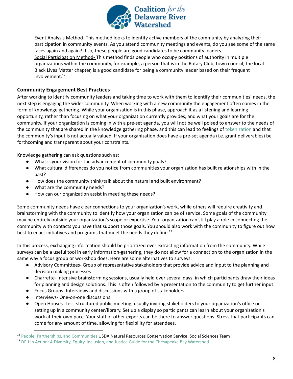

Event Analysis Method- This method looks to identify active members of the community by analyzing their participation in community events. As you attend community meetings and events, do you see some of the same faces again and again? If so, these people are good candidates to be community leaders. Social Participation Method- This method finds people who occupy positions of authority in multiple organizations within the community, for example, a person that is in the Rotary Club, town council, the local Black Lives Matter chapter, is a good candidate for being a community leader based on their frequent involvement. 12

### <span id="page-9-0"></span>**Community Engagement Best Practices**

After working to identify community leaders and taking time to work with them to identify their communities' needs, the next step is engaging the wider community. When working with a new community the engagement often comes in the form of knowledge gathering. While your organization is in this phase, approach it as a listening and learning opportunity, rather than focusing on what your organization currently provides, and what your goals are for the community. If your organization is coming in with a pre-set agenda, you will not be well poised to answer to the needs of the community that are shared in the knowledge gathering phase, and this can lead to feelings of [tokenization](https://drive.google.com/drive/u/1/folders/182PLnf1RtXPf6BcRCmfCGsgzb8oy1QFl) and that the community's input is not actually valued. If your organization does have a pre-set agenda (i.e. grant deliverables) be forthcoming and transparent about your constraints.

Knowledge gathering can ask questions such as:

- What is your vision for the advancement of community goals?
- What cultural differences do you notice from communities your organization has built relationships with in the past?
- How does the community think/talk about the natural and built environment?
- What are the community needs?
- How can our organization assist in meeting these needs?

Some community needs have clear connections to your organization's work, while others will require creativity and brainstorming with the community to identify how your organization can be of service. Some goals of the community may be entirely outside your organization's scope or expertise. Your organization can still play a role in connecting the community with contacts you have that support those goals. You should also work with the community to figure out how best to enact initiatives and programs that meet the needs they define.<sup>13</sup>

In this process, exchanging information should be prioritized over extracting information from the community. While surveys can be a useful tool in early information-gathering, they do not allow for a connection to the organization in the same way a focus group or workshop does. Here are some alternatives to surveys.

- Advisory Committees- Group of representative stakeholders that provide advice and input to the planning and decision making processes
- Charrette- Intensive brainstorming sessions, usually held over several days, in which participants draw their ideas for planning and design solutions. This is often followed by a presentation to the community to get further input.
- Focus Groups- Interviews and discussions with a group of stakeholders
- Interviews- One-on-one discussions
- Open Houses- Less-structured public meeting, usually inviting stakeholders to your organization's office or setting up in a community center/library. Set up a display so participants can learn about your organization's work at their own pace. Your staff or other experts can be there to answer questions. Stress that participants can come for any amount of time, allowing for flexibility for attendees.

<sup>&</sup>lt;sup>12</sup> People, Partnerships, and [Communities](https://www.nrcs.usda.gov/Internet/FSE_DOCUMENTS/stelprdb1045582.pdf) USDA Natural Resources Conservation Service, Social Sciences Team

<sup>&</sup>lt;sup>13</sup> DEIJ In Action: A Diversity, Equity, Inclusion, and Justice Guide for the [Chesapeake](https://drive.google.com/drive/folders/1GYbIg2EWwSEJe7pcU3zGEpGQDUWK2CS3) Bay Watershed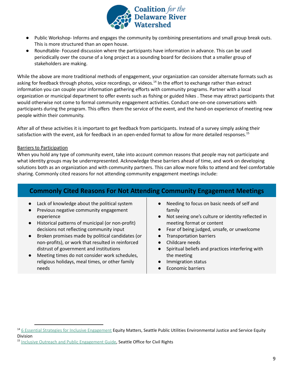

- Public Workshop- Informs and engages the community by combining presentations and small group break outs. This is more structured than an open house.
- Roundtable- Focused discussion where the participants have information in advance. This can be used periodically over the course of a long project as a sounding board for decisions that a smaller group of stakeholders are making.

While the above are more traditional methods of engagement, your organization can consider alternate formats such as asking for feedback through photos, voice recordings, or videos.<sup>14</sup> In the effort to exchange rather than extract information you can couple your information gathering efforts with community programs. Partner with a local organization or municipal department to offer events such as fishing or guided hikes . These may attract participants that would otherwise not come to formal community engagement activities. Conduct one-on-one conversations with participants during the program. This offers them the service of the event, and the hand-on experience of meeting new people within their community.

After all of these activities it is important to get feedback from participants. Instead of a survey simply asking their satisfaction with the event, ask for feedback in an open-ended format to allow for more detailed responses.<sup>15</sup>

### <span id="page-10-0"></span>Barriers to Participation

When you hold any type of community event, take into account common reasons that people may not participate and what identity groups may be underrepresented. Acknowledge these barriers ahead of time, and work on developing solutions both as an organization and with community partners. This can allow more folks to attend and feel comfortable sharing. Commonly cited reasons for not attending community engagement meetings include:

### **Commonly Cited Reasons For Not Attending Community Engagement Meetings**

- Lack of knowledge about the political system
- Previous negative community engagement experience
- Historical patterns of municipal (or non-profit) decisions not reflecting community input
- Broken promises made by political candidates (or non-profits), or work that resulted in reinforced distrust of government and institutions
- Meeting times do not consider work schedules, religious holidays, meal times, or other family needs
- Needing to focus on basic needs of self and family
- Not seeing one's culture or identity reflected in meeting format or content
- Fear of being judged, unsafe, or unwelcome
- Transportation barriers
- Childcare needs
- Spiritual beliefs and practices interfering with the meeting
- Immigration status
- **Economic barriers**

<sup>15</sup> Inclusive Outreach and Public [Engagement](http://www.seattle.gov/Documents/Departments/Neighborhoods/PPatch/Inclusive-Outreach-and-Public-Engagement-Guide.pdf) Guide, Seattle Office for Civil Rights

<sup>&</sup>lt;sup>14</sup> 6 Essential Strategies for Inclusive [Engagement](https://www.eugene-or.gov/DocumentCenter/View/16314/Six-Essential-Strategies-for-Inclusive-Community-Engagement?bidId=) Equity Matters, Seattle Public Utilities Environmental Justice and Service Equity Division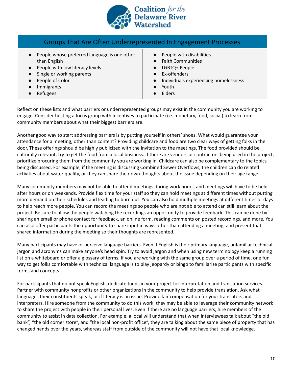

### Groups That Are Often Underrepresented In Engagement Processes

- People whose preferred language is one other than English
- People with low literacy levels
- Single or working parents
- People of Color
- Immigrants
- Refugees
- People with disabilities
- Faith Communities
- LGBTQ+ People
- Ex-offenders
- Individuals experiencing homelessness
- Youth
- **Elders**

Reflect on these lists and what barriers or underrepresented groups may exist in the community you are working to engage. Consider hosting a focus group with incentives to participate (i.e. monetary, food, social) to learn from community members about what their biggest barriers are.

Another good way to start addressing barriers is by putting yourself in others' shoes. What would guarantee your attendance for a meeting, other than content? Providing childcare and food are two clear ways of getting folks in the door. These offerings should be highly publicized with the invitation to the meetings. The food provided should be culturally relevant, try to get the food from a local business. If there are vendors or contractors being used in the project, prioritize procuring them from the community you are working in. Childcare can also be complementary to the topics being discussed. For example, if the meeting is discussing Combined Sewer Overflows, the children can do related activities about water quality, or they can share their own thoughts about the issue depending on their age range.

Many community members may not be able to attend meetings during work hours, and meetings will have to be held after hours or on weekends. Provide flex time for your staff so they can hold meetings at different times without putting more demand on their schedules and leading to burn out. You can also hold multiple meetings at different times or days to help reach more people. You can record the meetings so people who are not able to attend can still learn about the project. Be sure to allow the people watching the recordings an opportunity to provide feedback. This can be done by sharing an email or phone contact for feedback, an online form, reading comments on posted recordings, and more. You can also offer participants the opportunity to share input in ways other than attending a meeting, and present that shared information during the meeting so their thoughts are represented.

Many participants may have or perceive language barriers. Even if English is their primary language, unfamiliar technical jargon and acronyms can make anyone's head spin. Try to avoid jargon and when using new terminology keep a running list on a whiteboard or offer a glossary of terms. If you are working with the same group over a period of time, one fun way to get folks comfortable with technical language is to play jeopardy or bingo to familiarize participants with specific terms and concepts.

For participants that do not speak English, dedicate funds in your project for interpretation and translation services. Partner with community nonprofits or other organizations in the community to help provide translation. Ask what languages their constituents speak, or if literacy is an issue. Provide fair compensation for your translators and interpreters. Hire someone from the community to do this work, they may be able to leverage their community network to share the project with people in their personal lives. Even if there are no language barriers, hire members of the community to assist in data collection. For example, a local will understand that when interviewees talk about "the old bank", "the old corner store", and "the local non-profit office", they are talking about the same piece of property that has changed hands over the years, whereas staff from outside of the community will not have that local knowledge.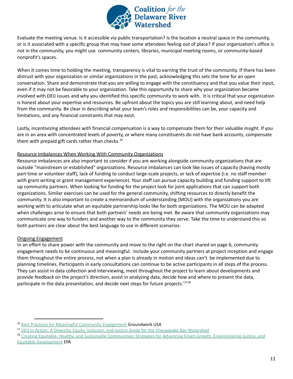

Evaluate the meeting venue. Is it accessible via public transportation? Is the location a neutral space in the community, or is it associated with a specific group that may have some attendees feeling out of place? If your organization's office is not in the community, you might use community centers, libraries, municipal meeting rooms, or community-based nonprofit's spaces.

When it comes time to holding the meeting, transparency is vital to earning the trust of the community. If there has been distrust with your organization or similar organizations in the past, acknowledging this sets the tone for an open conversation. Share and demonstrate that you are willing to engage with the constituency and that you value their input, even if it may not be favorable to your organization. Take this opportunity to share why your organization became involved with DEIJ issues and why you identified this specific community to work with. It is critical that your organization is honest about your expertise and resources. Be upfront about the topics you are still learning about, and need help from the community. Be clear in describing what your team's roles and responsibilities can be, your capacity and limitations, and any financial constraints that may exist.

Lastly, incentivizing attendees with financial compensation is a way to compensate them for their valuable insight. If you are in an area with concentrated levels of poverty, or where many constituents do not have bank accounts, compensate them with prepaid gift cards rather than checks.<sup>16</sup>

### <span id="page-12-0"></span>Resource Imbalances When Working With Community Organizations

Resource imbalances are also important to consider if you are working alongside community organizations that are outside "mainstream or established" organizations. Resource imbalances can look like issues of capacity (having mostly part-time or volunteer staff), lack of funding to conduct large-scale projects, or lack of expertise (i.e. no staff member with grant writing or grant management experience). Your staff can pursue capacity building and funding support to lift up community partners. When looking for funding for the project look for joint applications that can support both organizations. Similar exercises can be used for the general community, shifting resources to directly benefit the community. It is also important to create a memorandum of understanding (MOU) with the organizations you are working with to articulate what an equitable partnership looks like for both organizations. The MOU can be adapted when challenges arise to ensure that both partners' needs are being met. Be aware that community organizations may communicate one way to funders and another way to the community they serve. Take the time to understand this so both partners are clear about the best language to use in different scenarios.

### <span id="page-12-1"></span>Ongoing Engagement

In an effort to share power with the community and move to the right on the chart shared on page 6, community engagement needs to be continuous and meaningful. Include your community partners at project inception and engage them throughout the entire process, not when a plan is already in motion and ideas can't be implemented due to planning timelines. Participants in early consultations can continue to be active participants in all steps of the process. They can assist in data collection and interviewing, meet throughout the project to learn about developments and provide feedback on the project's direction, assist in analyzing data, decide how and where to present the data, participate in the data presentation, and decide next steps for future projects.<sup>17</sup><sup>18</sup>

<sup>&</sup>lt;sup>16</sup> Best Practices for Meaningful Community [Engagement](https://groundworkusa.org/wp-content/uploads/2018/03/GWUSA_Best-Practices-for-Meaningful-Community-Engagement-Tip-Sheet.pdf) Groundwork USA

<sup>&</sup>lt;sup>17</sup> DEIJ In Action: A Diversity, Equity, Inclusion, and Justice Guide for the [Chesapeake](https://drive.google.com/drive/folders/1GYbIg2EWwSEJe7pcU3zGEpGQDUWK2CS3) Bay Watershed

<sup>&</sup>lt;sup>18</sup> Creating Equitable, Healthy, and Sustainable Communities: Strategies for Advancing Smart Growth, [Environmental](https://www.epa.gov/sites/production/files/2014-01/documents/equitable-development-report-508-011713b.pdf) Justice, and Equitable [Development](https://www.epa.gov/sites/production/files/2014-01/documents/equitable-development-report-508-011713b.pdf) EPA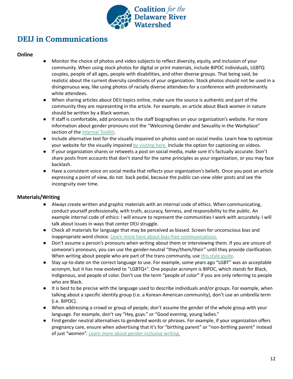

# <span id="page-13-0"></span>**DEIJ in Communications**

### **Online**

- <span id="page-13-1"></span>Monitor the choice of photos and video subjects to reflect diversity, equity, and inclusion of your community. When using stock photos for digital or print materials, include BIPOC individuals, LGBTQ couples, people of all ages, people with disabilities, and other diverse groups. That being said, be realistic about the current diversity conditions of your organization. Stock photos should not be used in a disingenuous way, like using photos of racially diverse attendees for a conference with predominantly white attendees.
- When sharing articles about DEIJ topics online, make sure the source is authentic and part of the community they are representing in the article. For example, an article about Black women in nature should be written by a Black woman.
- If staff is comfortable, add pronouns to the staff biographies on your organization's website. For more information about gender pronouns visit the "Welcoming Gender and Sexuality in the Workplace" section of the [Internal](https://docs.google.com/document/d/118PUoiKwt1VT6XPf8LhN6B7ZydM8MiR1jjOz2g-2PwQ/edit?usp=sharing) Toolkit.
- Include alternative text for the visually impaired on photos used on social media. Learn how to optimize your website for the visually impaired by [visiting](https://fuzzymath.com/blog/improve-accessibility-for-visually-impaired-users/) here. Include the option for captioning on videos.
- If your organization shares or retweets a post on social media, make sure it's factually accurate. Don't share posts from accounts that don't stand for the same principles as your organization, or you may face backlash.
- Have a consistent voice on social media that reflects your organization's beliefs. Once you post an article expressing a point of view, do not back pedal, because the public can view older posts and see the incongruity over time.

### **Materials/Writing**

- <span id="page-13-2"></span>● Always create written and graphic materials with an internal code of ethics. When communicating, conduct yourself professionally, with truth, accuracy, fairness, and responsibility to the public. An example internal code of ethics: I will ensure to represent the communities I work with accurately. I will talk about issues in ways that center DEIJ struggle.
- Check all materials for language that may be perceived as biased. Screen for unconscious bias and inappropriate word choice. Learn more here about bias-free [communications.](https://www.marketing-partners.com/conversations2/is-your-communication-bias-free-and-inclusive)
- Don't assume a person's pronouns when writing about them or interviewing them. If you are unsure of someone's pronouns, you can use the gender-neutral "they/them/their" until they provide clarification. When writing about people who are part of the trans community, use this style [guide](https://radicalcopyeditor.com/2017/08/31/transgender-style-guide/).
- Stay up-to-date on the correct language to use. For example, some years ago "LGBT" was an acceptable acronym, but it has now evolved to "LGBTQ+". One popular acronym is BIPOC, which stands for Black, Indigenous, and people of color. Don't use the term "people of color" if you are only referring to people who are Black.
- It is best to be precise with the language used to describe individuals and/or groups. For example, when talking about a specific identity group (i.e. a Korean-American community), don't use an umbrella term (i.e. BIPOC).
- When addressing a crowd or group of people, don't assume the gender of the whole group with your language. For example, don't say "Hey, guys." or "Good evening, young ladies."
- Find gender neutral alternatives to gendered words or phrases. For example, if your organization offers pregnancy care, ensure when advertising that it's for "birthing parent" or "non-birthing parent" instead of just "women". Learn more about gender [inclusive](https://writingcooperative.com/how-to-make-your-writing-more-gender-inclusive-1961686124f3) writing.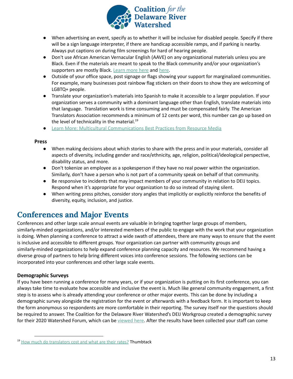

- When advertising an event, specify as to whether it will be inclusive for disabled people. Specify if there will be a sign language interpreter, if there are handicap accessible ramps, and if parking is nearby. Always put captions on during film screenings for hard of hearing people.
- Don't use African American Vernacular English (AAVE) on any organizational materials unless you are Black. Even if the materials are meant to speak to the Black community and/or your organization's supporters are mostly Black. [Learn](https://www.hawaii.edu/satocenter/langnet/definitions/aave.html#:~:text=African%20American%20Vernacular%20English%20(AAVE,Ebonics%20outside%20the%20academic%20community.) more here and [here.](https://www.facebook.com/babatundehiphopera/posts/4140597599324790)
- Outside of your office space, post signage or flags showing your support for marginalized communities. For example, many businesses post rainbow flag stickers on their doors to show they are welcoming of LGBTQ+ people.
- Translate your organization's materials into Spanish to make it accessible to a larger population. If your organization serves a community with a dominant language other than English, translate materials into that language. Translation work is time consuming and must be compensated fairly. The American Translators Association recommends a minimum of 12 cents per word, this number can go up based on the level of technicality in the material.<sup>19</sup>
- **Learn More: Multicultural [Communications](https://www.resource-media.org/wp-content/uploads/2018/10/MCC-Handout-Comnet.pdf) Best Practices from Resource Media**

#### <span id="page-14-0"></span>**Press**

- When making decisions about which stories to share with the press and in your materials, consider all aspects of diversity, including gender and race/ethnicity, age, religion, political/ideological perspective, disability status, and more.
- Don't tokenize an employee as a spokesperson if they have no real power within the organization. Similarly, don't have a person who is not part of a community speak on behalf of that community.
- Be responsive to incidents that may impact members of your community in relation to DEIJ topics. Respond when it's appropriate for your organization to do so instead of staying silent.
- When writing press pitches, consider story angles that implicitly or explicitly reinforce the benefits of diversity, equity, inclusion, and justice.

## <span id="page-14-1"></span>**Conferences and Major Events**

Conferences and other large scale annual events are valuable in bringing together large groups of members, similarly-minded organizations, and/or interested members of the public to engage with the work that your organization is doing. When planning a conference to attract a wide swath of attendees, there are many ways to ensure that the event is inclusive and accessible to different groups. Your organization can partner with community groups and similarly-minded organizations to help expand conference planning capacity and resources. We recommend having a diverse group of partners to help bring different voices into conference sessions. The following sections can be incorporated into your conferences and other large scale events.

### <span id="page-14-2"></span>**Demographic Surveys**

If you have been running a conference for many years, or if your organization is putting on its first conference, you can always take time to evaluate how accessible and inclusive the event is. Much like general community engagement, a first step is to assess who is already attending your conference or other major events. This can be done by including a demographic survey alongside the registration for the event or afterwards with a feedback form. It is important to keep the form anonymous so respondents are more comfortable in their reporting. The survey itself nor the questions should be required to answer. The Coalition for the Delaware River Watershed's DEIJ Workgroup created a demographic survey for their 2020 Watershed Forum, which can be [viewed](https://docs.google.com/forms/d/e/1FAIpQLSfyamUoqok7v9XirKWP1h1BXKLAzLJeM26DiGHtsyB0m7HBYw/formResponse) here. After the results have been collected your staff can come

<sup>&</sup>lt;sup>19</sup> How much do [translators](https://www.thumbtack.com/p/translator-rate#:~:text=Per%2Dword%20rate&text=According%20to%20the%20American%20Translators,experience%20and%20area%20of%20expertise.) cost and what are their rates? Thumbtack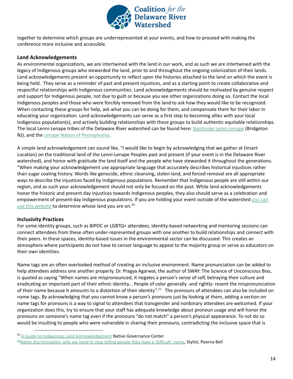

together to determine which groups are underrepresented at your events, and how to proceed with making the conference more inclusive and accessible.

### <span id="page-15-0"></span>**Land Acknowledgements**

As environmental organizations, we are intertwined with the land in our work, and as such we are intertwined with the legacy of Indigenous groups who stewarded the land, prior to and throughout the ongoing colonization of their lands. Land acknowledgements present an opportunity to reflect upon the histories attached to the land on which the event is being held. They serve as a reminder of past and present injustices, and as a starting point to create collaborative and respectful relationships with Indigenous communities. Land acknowledgements should be motivated by genuine respect and support for Indigenous people, not due to guilt or because you see other organizations doing so. Contact the local Indigenous peoples and those who were forcibly removed from the land to ask how they would like to be recognized. When contacting these groups for help, ask what you can be doing for them, and compensate them for their labor in educating your organization. Land acknowledgements can serve as a first step to becoming allies with your local Indigenous population(s), and actively building relationships with these groups to build authentic equitable relationships. The local Lenni-Lenape tribes of the Delaware River watershed can be found here: Nanticoke [Lenni-Lenape](https://nlltribe.com/) (Bridgeton NJ), and the Lenape Nation of [Pennsylvania.](https://www.lenape-nation.org/)

A simple land acknowledgement can sound like, "I would like to begin by acknowledging that we gather at (Insert Location) on the traditional land of the Lenni-Lenape Peoples past and present (if your event is in the Delaware River watershed), and honor with gratitude the land itself and the people who have stewarded it throughout the generations. "When making your acknowledgement use appropriate language that accurately describes historical injustices rather than sugar coating history. Words like genocide, ethnic cleansing, stolen land, and forced removal are all appropriate ways to describe the injustices faced by Indigenous populations. Remember that Indigenous people are still within our region, and as such your acknowledgement should not only be focused on the past. While land acknowledgements honor the historic and present day injustices towards Indigenous peoples, they also should serve as a celebration and empowerment of present-day Indigenous populations. If [you](https://native-land.ca/) are holding your event outside of the watershed you can use this [website](https://native-land.ca/) to determine whose land you are on.<sup>20</sup>

#### <span id="page-15-1"></span>**Inclusivity Practices**

For some identity groups, such as BIPOC or LGBTQ+ attendees, identity-based networking and mentoring sessions can connect attendees from these often under-represented groups with one another to build relationships and connect with their peers. In these spaces, identity-based issues in the environmental sector can be discussed. This creates an atmosphere where participants do not have to censor language to appeal to the majority group or serve as educators on their own identities.

Name tags are an often overlooked method of creating an inclusive environment. Name pronunciation can be added to help attendees address one another properly. Dr. Pragya Agarwal, the author of SWAY: The Science of Unconscious Bias, is quoted as saying "When names are mispronounced, it negates a person's sense of self, betraying their culture and eradicating an important part of their ethnic identity... People of color generally -and rightly- resent the mispronunciation of their name because it amounts to a distortion of their identity".<sup>21</sup> The pronouns of attendees can also be included on name tags. By acknowledging that you cannot know a person's pronouns just by looking at them, adding a section on name tags for pronouns is a way to signal to attendees that transgender and nonbinary attendees are welcomed. If your organization does this, try to ensure that your staff has adequate knowledge about pronoun usage and will honor the pronouns on someone's name tag even if the pronouns "do not match" a person's physical appearance. To not do so would be insulting to people who were vulnerable in sharing their pronouns, contradicting the inclusive space that is

<sup>&</sup>lt;sup>20</sup> A Guide to Indigenous Land [Acknowledgement](https://nativegov.org/a-guide-to-indigenous-land-acknowledgment/) Native Governance Center

 $21$ Name [discrimination:](https://www.stylist.co.uk/long-reads/how-to-pronounce-names-bias-poorna-bell/329642) why we need to stop telling people they have a 'difficult' name, Stylist, Poorna Bell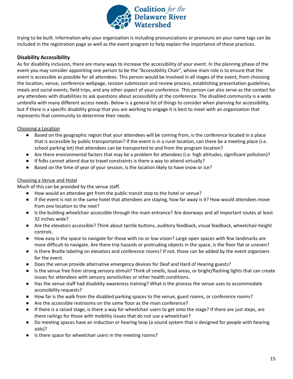

trying to be built. Information why your organization is including pronunciations or pronouns on your name tags can be included in the registration page as well as the event program to help explain the importance of these practices.

### <span id="page-16-0"></span>**Disability Accessibility**

As for disability inclusion, there are many ways to increase the accessibility of your event. In the planning phase of the event you may consider appointing one person to be the "Accessibility Chair", whose main role is to ensure that the event is accessible as possible for all attendees. This person would be involved in all stages of the event, from choosing the location, venue, conference webpage, session submission and review process, establishing presentation guidelines, meals and social events, field trips, and any other aspect of your conference. This person can also serve as the contact for any attendees with disabilities to ask questions about accessibility at the conference. The disabled community is a wide umbrella with many different access needs. Below is a general list of things to consider when planning for accessibility, but if there is a specific disability group that you are working to engage it is best to meet with an organization that represents that community to determine their needs.

### Choosing a Location

- Based on the geographic region that your attendees will be coming from, is the conference located in a place that is accessible by public transportation? If the event is in a rural location, can there be a meeting place (i.e. school parking lot) that attendees can be transported to and from the program location?
- Are there environmental factors that may be a problem for attendees (i.e. high altitudes, significant pollution)?
- If folks cannot attend due to travel constraints is there a way to attend virtually?
- Based on the time of year of your session, is the location likely to have snow or ice?

### Choosing a Venue and Hotel

Much of this can be provided by the venue staff.

- How would an attendee get from the public transit stop to the hotel or venue?
- If the event is not in the same hotel that attendees are staying, how far away is it? How would attendees move from one location to the next?
- Is the building wheelchair accessible through the main entrance? Are doorways and all important routes at least 32 inches wide?
- Are the elevators accessible? Think about tactile buttons, auditory feedback, visual feedback, wheelchair-height controls.
- How easy is the space to navigate for those with no or low vision? Large open spaces with few landmarks are more difficult to navigate. Are there trip hazards or protruding objects in the space, is the floor flat or uneven?
- Is there Braille labeling on elevators and conference rooms? If not, those can be added by the event organizers for the event.
- Does the venue provide alternative emergency devices for Deaf and Hard of Hearing guests?
- Is the venue free from strong sensory stimuli? Think of smells, loud areas, or bright/flashing lights that can create issues for attendees with sensory sensitivities or other health conditions.
- Has the venue staff had disability awareness training? What is the process the venue uses to accommodate accessibility requests?
- How far is the walk from the disabled parking spaces to the venue, guest rooms, or conference rooms?
- Are the accessible restrooms on the same floor as the main conference?
- If there is a raised stage, is there a way for wheelchair users to get onto the stage? If there are just steps, are there railings for those with mobility issues that do not use a wheelchair?
- Do meeting spaces have an induction or hearing loop (a sound system that is designed for people with hearing aids)?
- Is there space for wheelchair users in the meeting rooms?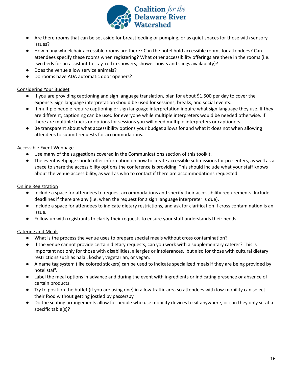

- Are there rooms that can be set aside for breastfeeding or pumping, or as quiet spaces for those with sensory issues?
- How many wheelchair accessible rooms are there? Can the hotel hold accessible rooms for attendees? Can attendees specify these rooms when registering? What other accessibility offerings are there in the rooms (i.e. two beds for an assistant to stay, roll in showers, shower hoists and slings availability)?
- Does the venue allow service animals?
- Do rooms have ADA automatic door openers?

### Considering Your Budget

- If you are providing captioning and sign language translation, plan for about \$1,500 per day to cover the expense. Sign language interpretation should be used for sessions, breaks, and social events.
- If multiple people require captioning or sign language interpretation inquire what sign language they use. If they are different, captioning can be used for everyone while multiple interpreters would be needed otherwise. If there are multiple tracks or options for sessions you will need multiple interpreters or captioners.
- Be transparent about what accessibility options your budget allows for and what it does not when allowing attendees to submit requests for accommodations.

### Accessible Event Webpage

- Use many of the suggestions covered in the Communications section of this toolkit.
- The event webpage should offer information on how to create accessible submissions for presenters, as well as a space to share the accessibility options the conference is providing. This should include what your staff knows about the venue accessibility, as well as who to contact if there are accommodations requested.

### Online Registration

- Include a space for attendees to request accommodations and specify their accessibility requirements. Include deadlines if there are any (i.e. when the request for a sign language interpreter is due).
- Include a space for attendees to indicate dietary restrictions, and ask for clarification if cross contamination is an issue.
- Follow up with registrants to clarify their requests to ensure your staff understands their needs.

### Catering and Meals

- What is the process the venue uses to prepare special meals without cross contamination?
- If the venue cannot provide certain dietary requests, can you work with a supplementary caterer? This is important not only for those with disabilities, allergies or intolerances, but also for those with cultural dietary restrictions such as halal, kosher, vegetarian, or vegan.
- A name tag system (like colored stickers) can be used to indicate specialized meals if they are being provided by hotel staff.
- Label the meal options in advance and during the event with ingredients or indicating presence or absence of certain products.
- Try to position the buffet (if you are using one) in a low traffic area so attendees with low-mobility can select their food without getting jostled by passersby.
- Do the seating arrangements allow for people who use mobility devices to sit anywhere, or can they only sit at a specific table(s)?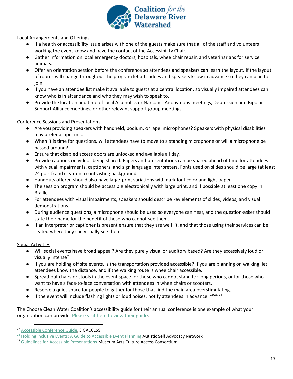

Local Arrangements and Offerings

- If a health or accessibility issue arises with one of the guests make sure that all of the staff and volunteers working the event know and have the contact of the Accessibility Chair.
- Gather information on local emergency doctors, hospitals, wheelchair repair, and veterinarians for service animals.
- Offer an orientation session before the conference so attendees and speakers can learn the layout. If the layout of rooms will change throughout the program let attendees and speakers know in advance so they can plan to join.
- If you have an attendee list make it available to guests at a central location, so visually impaired attendees can know who is in attendance and who they may wish to speak to.
- Provide the location and time of local Alcoholics or Narcotics Anonymous meetings, Depression and Bipolar Support Alliance meetings, or other relevant support group meetings.

### Conference Sessions and Presentations

- Are you providing speakers with handheld, podium, or lapel microphones? Speakers with physical disabilities may prefer a lapel mic.
- When it is time for questions, will attendees have to move to a standing microphone or will a microphone be passed around?
- Ensure that disabled access doors are unlocked and available all day.
- Provide captions on videos being shared. Papers and presentations can be shared ahead of time for attendees with visual impairments, captioners, and sign language interpreters. Fonts used on slides should be large (at least 24 point) and clear on a contrasting background.
- Handouts offered should also have large-print variations with dark font color and light paper.
- The session program should be accessible electronically with large print, and if possible at least one copy in Braille.
- For attendees with visual impairments, speakers should describe key elements of slides, videos, and visual demonstrations.
- During audience questions, a microphone should be used so everyone can hear, and the question-asker should state their name for the benefit of those who cannot see them.
- If an interpreter or captioner is present ensure that they are well lit, and that those using their services can be seated where they can visually see them.

### Social Activities

- Will social events have broad appeal? Are they purely visual or auditory based? Are they excessively loud or visually intense?
- If you are holding off site events, is the transportation provided accessible? If you are planning on walking, let attendees know the distance, and if the walking route is wheelchair accessible.
- Spread out chairs or stools in the event space for those who cannot stand for long periods, or for those who want to have a face-to-face conversation with attendees in wheelchairs or scooters.
- Reserve a quiet space for people to gather for those that find the main area overstimulating.
- $\bullet$  If the event will include flashing lights or loud noises, notify attendees in advance.  $22/23/24$

The Choose Clean Water Coalition's accessibility guide for their annual conference is one example of what your organization can provide. [Please](https://www.choosecleanwater.org/accessibility-guide) visit here to view their guide.

<sup>&</sup>lt;sup>22</sup> Accessible [Conference](http://www.sigaccess.org/welcome-to-sigaccess/resources/accessible-conference-guide/#planning) Guide, SIGACCESS

 $23$  Holding Inclusive Events: A Guide to [Accessible](https://issuu.com/autselfadvocacy/docs/accessible-event-planning) Event Planning Autistic Self Advocacy Network

<sup>&</sup>lt;sup>24</sup> Guidelines for Accessible [Presentations](https://macaccess.org/rescources/guidelines-for-accessible-presentations/) Museum Arts Culture Access Consortium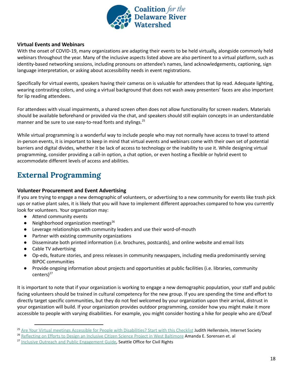

### <span id="page-19-0"></span>**Virtual Events and Webinars**

With the onset of COVID-19, many organizations are adapting their events to be held virtually, alongside commonly held webinars throughout the year. Many of the inclusive aspects listed above are also pertinent to a virtual platform, such as identity-based networking sessions, including pronouns on attendee's names, land acknowledgements, captioning, sign language interpretation, or asking about accessibility needs in event registrations.

Specifically for virtual events, speakers having their cameras on is valuable for attendees that lip read. Adequate lighting, wearing contrasting colors, and using a virtual background that does not wash away presenters' faces are also important for lip reading attendees.

For attendees with visual impairments, a shared screen often does not allow functionality for screen readers. Materials should be available beforehand or provided via the chat, and speakers should still explain concepts in an understandable manner and be sure to use easy-to-read fonts and stylings.<sup>25</sup>

While virtual programming is a wonderful way to include people who may not normally have access to travel to attend in-person events, it is important to keep in mind that virtual events and webinars come with their own set of potential barriers and digital divides, whether it be lack of access to technology or the inability to use it. While designing virtual programming, consider providing a call-in option, a chat option, or even hosting a flexible or hybrid event to accommodate different levels of access and abilities.

## <span id="page-19-1"></span>**External Programming**

#### <span id="page-19-2"></span>**Volunteer Procurement and Event Advertising**

If you are trying to engage a new demographic of volunteers, or advertising to a new community for events like trash pick ups or native plant sales, it is likely that you will have to implement different approaches compared to how you currently look for volunteers. Your organization may:

- Attend community events
- Neighborhood organization meetings<sup>26</sup>
- Leverage relationships with community leaders and use their word-of-mouth
- Partner with existing community organizations
- Disseminate both printed information (i.e. brochures, postcards), and online website and email lists
- Cable TV advertising
- Op-eds, feature stories, and press releases in community newspapers, including media predominantly serving BIPOC communities
- Provide ongoing information about projects and opportunities at public facilities (i.e. libraries, community centers)<sup>27</sup>

It is important to note that if your organization is working to engage a new demographic population, your staff and public facing volunteers should be trained in cultural competency for the new group. If you are spending the time and effort to directly target specific communities, but they do not feel welcomed by your organization upon their arrival, distrust in your organization will build. If your organization provides outdoor programming, consider how you might make it more accessible to people with varying disabilities. For example, you might consider hosting a hike for people who are d/Deaf

<sup>&</sup>lt;sup>25</sup> Are Your Virtual meetings Accessible for People with [Disabilities?](https://www.internetsociety.org/blog/2020/07/are-your-virtual-meetings-accessible-for-people-with-disabilities-start-with-this-checklist/) Start with this Checklist Judith Hellerstein, Internet Society

<sup>&</sup>lt;sup>26</sup> [Reflecting](https://theoryandpractice.citizenscienceassociation.org/articles/10.5334/cstp.170/) on Efforts to Design an Inclusive Citizen Science Project in West Baltimore Amanda E. Sorensen et. al

<sup>&</sup>lt;sup>27</sup> Inclusive Outreach and Public [Engagement](http://www.seattle.gov/Documents/Departments/Neighborhoods/PPatch/Inclusive-Outreach-and-Public-Engagement-Guide.pdf) Guide, Seattle Office for Civil Rights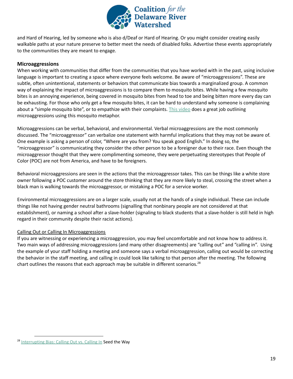

and Hard of Hearing, led by someone who is also d/Deaf or Hard of Hearing. Or you might consider creating easily walkable paths at your nature preserve to better meet the needs of disabled folks. Advertise these events appropriately to the communities they are meant to engage.

### <span id="page-20-0"></span>**Microaggressions**

When working with communities that differ from the communities that you have worked with in the past, using inclusive language is important to creating a space where everyone feels welcome. Be aware of "microaggressions". These are subtle, often unintentional, statements or behaviors that communicate bias towards a marginalized group. A common way of explaining the impact of microaggressions is to compare them to mosquito bites. While having a few mosquito bites is an annoying experience, being covered in mosquito bites from head to toe and being bitten more every day can be exhausting. For those who only get a few mosquito bites, it can be hard to understand why someone is complaining about a "simple mosquito bite", or to empathize with their complaints. This [video](https://www.youtube.com/watch?list=PLPyL4q6Hc7SZOIBu1neTlxlCoyxeqUjte&v=hDd3bzA7450&feature=emb_logo) does a great job outlining microaggressions using this mosquito metaphor.

Microaggressions can be verbal, behavioral, and environmental. Verbal microaggressions are the most commonly discussed. The "microaggressor" can verbalize one statement with harmful implications that they may not be aware of. One example is asking a person of color, "Where are you from? You speak good English." In doing so, the "microaggressor" is communicating they consider the other person to be a foreigner due to their race. Even though the microaggressor thought that they were complimenting someone, they were perpetuating stereotypes that People of Color (POC) are not from America, and have to be foreigners.

Behavioral microaggressions are seen in the actions that the microaggressor takes. This can be things like a white store owner following a POC customer around the store thinking that they are more likely to steal, crossing the street when a black man is walking towards the microaggressor, or mistaking a POC for a service worker.

Environmental microaggressions are on a larger scale, usually not at the hands of a single individual. These can include things like not having gender neutral bathrooms (signalling that nonbinary people are not considered at that establishment), or naming a school after a slave-holder (signaling to black students that a slave-holder is still held in high regard in their community despite their racist actions).

### <span id="page-20-1"></span>Calling Out or Calling In Microaggressions

If you are witnessing or experiencing a microaggression, you may feel uncomfortable and not know how to address it. Two main ways of addressing microaggressions (and many other disagreements) are "calling out" and "calling in". Using the example of your staff holding a meeting and someone says a verbal microaggression, calling out would be correcting the behavior in the staff meeting, and calling in could look like talking to that person after the meeting. The following chart outlines the reasons that each approach may be suitable in different scenarios. 28

<sup>&</sup>lt;sup>28</sup> [Interrupting](http://www.racialequityvtnea.org/wp-content/uploads/2018/09/Interrupting-Bias_-Calling-Out-vs.-Calling-In-REVISED-Aug-2018-1.pdf) Bias: Calling Out vs. Calling In Seed the Way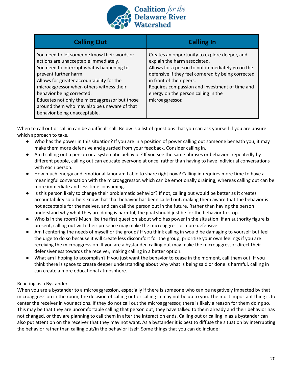

| <b>Calling Out</b>                                                                                                                                                                                                                                                                                                                                                                                                 | <b>Calling In</b>                                                                                                                                                                                                                                                                                                               |
|--------------------------------------------------------------------------------------------------------------------------------------------------------------------------------------------------------------------------------------------------------------------------------------------------------------------------------------------------------------------------------------------------------------------|---------------------------------------------------------------------------------------------------------------------------------------------------------------------------------------------------------------------------------------------------------------------------------------------------------------------------------|
| You need to let someone know their words or<br>actions are unacceptable immediately.<br>You need to interrupt what is happening to<br>prevent further harm.<br>Allows for greater accountability for the<br>microaggressor when others witness their<br>behavior being corrected.<br>Educates not only the microaggressor but those<br>around them who may also be unaware of that<br>behavior being unacceptable. | Creates an opportunity to explore deeper, and<br>explain the harm associated.<br>Allows for a person to not immediately go on the<br>defensive if they feel cornered by being corrected<br>in front of their peers.<br>Requires compassion and investment of time and<br>energy on the person calling in the<br>microaggressor. |

When to call out or call in can be a difficult call. Below is a list of questions that you can ask yourself if you are unsure which approach to take.

- Who has the power in this situation? If you are in a position of power calling out someone beneath you, it may make them more defensive and guarded from your feedback. Consider calling in.
- Am I calling out a person or a systematic behavior? If you see the same phrases or behaviors repeatedly by different people, calling out can educate everyone at once, rather than having to have individual conversations with each person.
- How much energy and emotional labor am I able to share right now? Calling in requires more time to have a meaningful conversation with the microaggressor, which can be emotionally draining, whereas calling out can be more immediate and less time consuming.
- Is this person likely to change their problematic behavior? If not, calling out would be better as it creates accountability so others know that that behavior has been called out, making them aware that the behavior is not acceptable for themselves, and can call the person out in the future. Rather than having the person understand why what they are doing is harmful, the goal should just be for the behavior to stop.
- Who is in the room? Much like the first question about who has power in the situation, if an authority figure is present, calling out with their presence may make the microaggressor more defensive.
- Am I centering the needs of myself or the group? If you think calling in would be damaging to yourself but feel the urge to do so because it will create less discomfort for the group, prioritize your own feelings if you are receiving the microaggression. If you are a bystander, calling out may make the microaggressor direct their defensiveness towards the receiver, making calling in a better option.
- What am I hoping to accomplish? If you just want the behavior to cease in the moment, call them out. If you think there is space to create deeper understanding about why what is being said or done is harmful, calling in can create a more educational atmosphere.

### <span id="page-21-0"></span>Reacting as a Bystander

When you are a bystander to a microaggression, especially if there is someone who can be negatively impacted by that microaggression in the room, the decision of calling out or calling in may not be up to you. The most important thing is to center the receiver in your actions. If they do not call out the microaggressor, there is likely a reason for them doing so. This may be that they are uncomfortable calling that person out, they have talked to them already and their behavior has not changed, or they are planning to call them in after the interaction ends. Calling out or calling in as a bystander can also put attention on the receiver that they may not want. As a bystander it is best to diffuse the situation by interrupting the behavior rather than calling out/in the behavior itself. Some things that you can do include: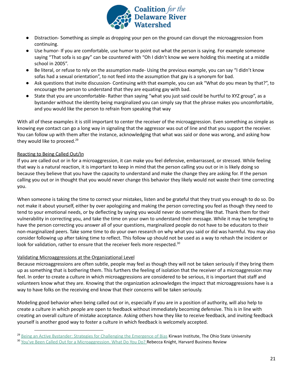

- Distraction- Something as simple as dropping your pen on the ground can disrupt the microaggression from continuing.
- Use humor- If you are comfortable, use humor to point out what the person is saying. For example someone saying "That sofa is so gay" can be countered with "Oh I didn't know we were holding this meeting at a middle school in 2005".
- Be literal, or refuse to rely on the assumption made- Using the previous example, you can say "I didn't know sofas had a sexual orientation", to not feed into the assumption that gay is a synonym for bad.
- Ask questions that invite discussion- Continuing with that example, you can ask "What do you mean by that?", to encourage the person to understand that they are equating gay with bad.
- State that you are uncomfortable- Rather than saying "what you just said could be hurtful to XYZ group", as a bystander without the identity being marginalized you can simply say that the phrase makes you uncomfortable, and you would like the person to refrain from speaking that way

With all of these examples it is still important to center the receiver of the microaggression. Even something as simple as knowing eye contact can go a long way in signaling that the aggressor was out of line and that you support the receiver. You can follow up with them after the instance, acknowledging that what was said or done was wrong, and asking how they would like to proceed.<sup>29</sup>

### <span id="page-22-0"></span>Reacting to Being Called Out/In

If you are called out or in for a microaggression, it can make you feel defensive, embarrassed, or stressed. While feeling that way is a natural reaction, it is important to keep in mind that the person calling you out or in is likely doing so because they believe that you have the capacity to understand and make the change they are asking for. If the person calling you out or in thought that you would never change this behavior they likely would not waste their time correcting you.

When someone is taking the time to correct your mistakes, listen and be grateful that they trust you enough to do so. Do not make it about yourself, either by over apologizing and making the person correcting you feel as though they need to tend to your emotional needs, or by deflecting by saying you would never do something like that. Thank them for their vulnerability in correcting you, and take the time on your own to understand their message. While it may be tempting to have the person correcting you answer all of your questions, marginalized people do not have to be educators to their non-marginalized peers. Take some time to do your own research on why what you said or did was harmful. You may also consider following up after taking time to reflect. This follow up should not be used as a way to rehash the incident or look for validation, rather to ensure that the receiver feels more respected.<sup>30</sup>

### <span id="page-22-1"></span>Validating Microaggressions at the Organizational Level

Because microaggressions are often subtle, people may feel as though they will not be taken seriously if they bring them up as something that is bothering them. This furthers the feeling of isolation that the receiver of a microaggression may feel. In order to create a culture in which microaggressions are considered to be serious, it is important that staff and volunteers know what they are. Knowing that the organization acknowledges the impact that microaggressions have is a way to have folks on the receiving end know that their concerns will be taken seriously.

Modeling good behavior when being called out or in, especially if you are in a position of authority, will also help to create a culture in which people are open to feedback without immediately becoming defensive. This is in line with creating an overall culture of mistake acceptance. Asking others how they like to receive feedback, and inviting feedback yourself is another good way to foster a culture in which feedback is welcomely accepted.

<sup>&</sup>lt;sup>29</sup> Being an Active Bystander: Strategies for [Challenging](http://kirwaninstitute.osu.edu/wp-content/uploads/2018/07/Being-an-Active-Bystander-2017.pdf) the Emergence of Bias Kirwan Institute, The Ohio State University

<sup>&</sup>lt;sup>30</sup> You've Been Called Out for a [Microaggression.](https://hbr.org/2020/07/youve-been-called-out-for-a-microaggression-what-do-you-do) What Do You Do? Rebecca Knight, Harvard Business Review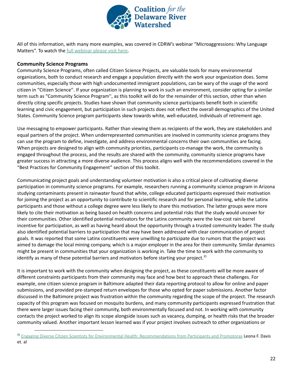

All of this information, with many more examples, was covered in CDRW's webinar "Microaggressions: Why Language Matters". To watch the full [webinar](https://www.youtube.com/watch?v=HnCXx43Wifg) please visit here.

### <span id="page-23-0"></span>**Community Science Programs**

Community Science Programs, often called Citizen Science Projects, are valuable tools for many environmental organizations, both to conduct research and engage a population directly with the work your organization does. Some communities, especially those with high undocumented immigrant populations, can be wary of the usage of the word citizen in "Citizen Science''. If your organization is planning to work in such an environment, consider opting for a similar term such as "Community Science Program'', as this toolkit will do for the remainder of this section, other than when directly citing specific projects. Studies have shown that community science participants benefit both in scientific learning and civic engagement, but participation in such projects does not reflect the overall demographics of the United States. Community Science program participants skew towards white, well-educated, individuals of retirement age.

Use messaging to empower participants. Rather than viewing them as recipients of the work, they are stakeholders and equal partners of the project. When underrepresented communities are involved in community science programs they can use the program to define, investigate, and address environmental concerns their own communities are facing. When projects are designed to align with community priorities, participants co-manage the work, the community is engaged throughout the process, and the results are shared with the community, community science programs have greater success in attracting a more diverse audience. This process aligns well with the recommendations covered in the "Best Practices for Community Engagement" section of this toolkit.

Communicating project goals and understanding volunteer motivation is also a critical piece of cultivating diverse participation in community science programs. For example, researchers running a community science program in Arizona studying contaminants present in rainwater found that white, college educated participants expressed their motivation for joining the project as an opportunity to contribute to scientific research and for personal learning, while the Latinx participants and those without a college degree were less likely to share this motivation. The latter groups were more likely to cite their motivation as being based on health concerns and potential risks that the study would uncover for their communities. Other identified potential motivators for the Latinx community were the low-cost rain barrel incentive for participation, as well as having heard about the opportunity through a trusted community leader. The study also identified potential barriers to participation that may have been addressed with clear communication of project goals. It was reported that some Latinx constituents were unwilling to participate due to rumors that the project was aimed to damage the local mining company, which is a major employer in the area for their community. Similar dynamics might be present in communities that your organization is working in. Take the time to work with the community to identify as many of these potential barriers and motivators before starting your project.<sup>31</sup>

It is important to work with the community when designing the project, as these constituents will be more aware of different constraints participants from their community may face and how best to approach these challenges. For example, one citizen science program in Baltimore adapted their data reporting protocol to allow for online and paper submissions, and provided pre-stamped return envelopes for those who opted for paper submissions. Another factor discussed in the Baltimore project was frustration within the community regarding the scope of the project. The research capacity of this program was focused on mosquito burdens, and many community participants expressed frustration that there were larger issues facing their community, both environmentally focused and not. In working with community contacts the project worked to align its scope alongside issues such as vacancy, dumping, or health risks that the broader community valued. Another important lesson learned was if your project involves outreach to other organizations or

<sup>&</sup>lt;sup>31</sup> Engaging Diverse Citizen Scientists for Environmental Health: [Recommendations](https://theoryandpractice.citizenscienceassociation.org/article/10.5334/cstp.253/) from Participants and Promotoras Leona F. Davis et. al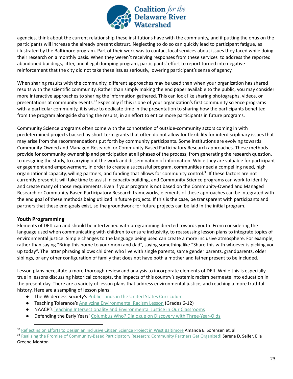

agencies, think about the current relationship these institutions have with the community, and if putting the onus on the participants will increase the already present distrust. Neglecting to do so can quickly lead to participant fatigue, as illustrated by the Baltimore program. Part of their work was to contact local services about issues they faced while doing their research on a monthly basis. When they weren't receiving responses from these services to address the reported abandoned buildings, litter, and illegal dumping program, participants' effort to report turned into negative reinforcement that the city did not take these issues seriously, lowering participant's sense of agency.

When sharing results with the community, different approaches may be used than when your organization has shared results with the scientific community. Rather than simply making the end paper available to the public, you may consider more interactive approaches to sharing the information gathered. This can look like sharing photographs, videos, or presentations at community events.<sup>32</sup> Especially if this is one of your organization's first community science programs with a particular community, it is wise to dedicate time in the presentation to sharing how the participants benefited from the program alongside sharing the results, in an effort to entice more participants in future programs.

Community Science programs often come with the connotation of outside-community actors coming in with predetermined projects backed by short-term grants that often do not allow for flexibility for interdisciplinary issues that may arise from the recommendations put forth by community participants. Some institutions are evolving towards Community-Owned and Managed-Research, or Community-Based Participatory Research approaches. These methods provide for community ownership and participation at all phases of the process, from generating the research question, to designing the study, to carrying out the work and dissemination of information. While they are valuable for participant engagement and empowerment, in order to create a successful program, communities need a compelling need, high organizational capacity, willing partners, and funding that allows for community control.<sup>33</sup> If these factors are not currently present it will take time to assist in capacity building, and Community Science programs can work to identify and create many of those requirements. Even if your program is not based on the Community-Owned and Managed Research or Community-Based Participatory Research frameworks, elements of these approaches can be integrated with the end goal of these methods being utilized in future projects. If this is the case, be transparent with participants and partners that these end-goals exist, so the groundwork for future projects can be laid in the initial program.

### <span id="page-24-0"></span>**Youth Programming**

Elements of DEIJ can and should be intertwined with programming directed towards youth. From considering the language used when communicating with children to ensure inclusivity, to reassessing lesson plans to integrate topics of environmental justice. Simple changes to the language being used can create a more inclusive atmosphere. For example, rather than saying "Bring this home to your mom and dad", saying something like "Share this with whoever is picking you up today". The latter phrasing allows children who live with single parents, same gender parents, grandparents, older siblings, or any other configuration of family that does not have both a mother and father present to be included.

Lesson plans necesitate a more thorough review and analysis to incorporate elements of DEIJ. While this is especially true in lessons discussing historical concepts, the impacts of this country's systemic racism permeate into education in the present day. There are a variety of lesson plans that address environmental justice, and reaching a more truthful history. Here are a sampling of lesson plans:

- **The Wilderness Society's Public Lands in the United States [Curriculum](https://www.wilderness.org/articles/article/public-lands-united-states-curriculum)**
- **Teaching Tolerance's Analyzing [Environmental](https://www.tolerance.org/classroom-resources/tolerance-lessons/analyzing-environmental-racism) Racism Lesson (Grades 6-12)**
- NAACP's Teaching [Intersectionality](https://www.naacp.org/wp-content/uploads/2016/04/Teaching%20Intersectionality%20and%20Environmental%20Justice%20in%20Our%20Classrooms%20FINAL.pdf) and Environmental Justice in Our Classrooms
- Defending the Early Years' Columbus Who? Dialogue on Discovery with [Three-Year-Olds](https://dey.org/columbus-who-a-dialogue-on-discovery-with-three-year-olds/)

<sup>&</sup>lt;sup>32</sup> [Reflecting](https://theoryandpractice.citizenscienceassociation.org/articles/10.5334/cstp.170/) on Efforts to Design an Inclusive Citizen Science Project in West Baltimore Amanda E. Sorensen et. al

<sup>33</sup> Realizing the Promise of [Community-Based](https://muse.jhu.edu/article/225098) Participatory Research: Community Partners Get Organized! Sarena D. Seifer, Ella Greene-Monton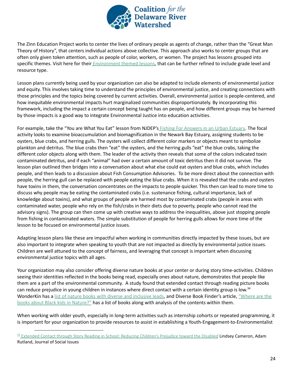

The Zinn Education Project works to center the lives of ordinary people as agents of change, rather than the "Great Man Theory of History", that centers individual actions above collective. This approach also works to center groups that are often only given token attention, such as people of color, workers, or women. The project has lessons grouped into specific themes. Visit here for their [Environment](https://www.zinnedproject.org/materials/?cond%5b0%5d=themes_str:Environment) themed lessons, that can be further refined to include grade level and resource type.

Lesson plans currently being used by your organization can also be adapted to include elements of environmental justice and equity. This involves taking time to understand the principles of environmental justice, and creating connections with those principles and the topics being covered by current activities. Overall, environmental justice is people-centered, and how inequitable environmental impacts hurt marginalized communities disproportionately. By incorporating this framework, including the impact a certain concept being taught has on people, and how different groups may be harmed by those impacts is a good way to integrate Environmental Justice into education activities.

For example, take the "You are What You Eat" lesson from NJDEP's Fishing For [Answers](https://rucore.libraries.rutgers.edu/rutgers-lib/33085/PDF/1/play/) in an Urban Estuary. The focal activity looks to examine bioaccumulation and biomagnification in the Newark Bay Estuary, assigning students to be oysters, blue crabs, and herring gulls. The oysters will collect different color markers or objects meant to symbolize plankton and detritus. The blue crabs then "eat" the oysters, and the herring gulls "eat" the blue crabs, taking the different color objects along with them. The leader of the activity then reveals that some of the colors indicated toxin contaminated detritus, and if each "animal" had over a certain amount of toxic detritus then it did not survive. The lesson plan outlined then bridges into a conversation about what else could eat oysters and blue crabs, which includes people, and then leads to a discussion about Fish Consumption Advisories. To be more direct about the connection with people, the herring gull can be replaced with people eating the blue crabs. When it is revealed that the crabs and oysters have toxins in them, the conversation concentrates on the impacts to people quicker. This then can lead to more time to discuss why people may be eating the contaminated crabs (i.e. sustenance fishing, cultural importance, lack of knowledge about toxins), and what groups of people are harmed most by contaminated crabs (people in areas with contaminated water, people who rely on the fish/crabs in their diets due to poverty, people who cannot read the advisory signs). The group can then come up with creative ways to address the inequalities, above just stopping people from fishing in contaminated waters. The simple substitution of people for herring gulls allows for more time of the lesson to be focused on environmental justice issues.

Adapting lesson plans like these are impactful when working in communities directly impacted by these issues, but are also important to integrate when speaking to youth that are not impacted as directly by environmental justice issues. Children are well attuned to the concept of fairness, and leveraging that concept is important when discussing environmental justice topics with all ages.

Your organization may also consider offering diverse nature books at your center or during story time-activities. Children seeing their identities reflected in the books being read, especially ones about nature, demonstrates that people like them are a part of the environmental community. A study found that extended contact through reading picture books can reduce prejudice in young children in instances where direct contact with a certain identity group is low.<sup>34</sup> WonderKin has a list of nature books with diverse and [inclusive](https://www.wonderkin.com/blog-home/diverse-and-inclusive-books-to-support-nature-based-learning) leads, and Diverse Book Finder's article, ["Where](https://diversebookfinder.org/browse/where-are-the-books-about-black-kids-in-nature/) are the books about Black kids in [Nature?"](https://diversebookfinder.org/browse/where-are-the-books-about-black-kids-in-nature/) has a list of books along with analysis of the contents within them.

When working with older youth, especially in long-term activities such as internship cohorts or repeated programming, it is important for your organization to provide resources to assist in establishing a Youth-Engagement-to-Environmentalist

<sup>&</sup>lt;sup>34</sup> Extended Contact through Story Reading in School: Reducing [Children's](https://psycnet.apa.org/record/2006-10200-003) Prejudice toward the Disabled Lindsey Cameron, Adam Rutland, Journal of Social Issues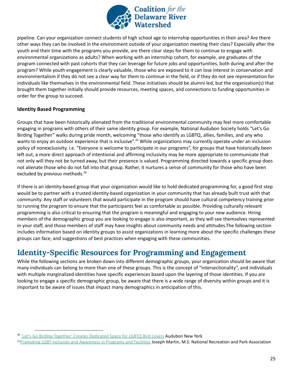

pipeline. Can your organization connect students of high school age to internship opportunities in their area? Are there other ways they can be involved in the environment outside of your organization meeting their class? Especially after the youth end their time with the programs you provide, are there clear steps for them to continue to engage with environmental organizations as adults? When working with an internship cohort, for example, are graduates of the program connected with past cohorts that they can leverage for future jobs and opportunities, both during and after the program? While youth engagement is clearly valuable, those who are exposed to it can lose interest in conservation and environmentalism if they do not see a clear way for them to continue in the field, or if they do not see representation for individuals like themselves in the environmental field. These initiatives should be alumni led, but the organization(s) that brought them together initially should provide resources, meeting spaces, and connections to funding opportunities in order for the group to succeed.

### <span id="page-26-0"></span>**Identity Based Programming**

Groups that have been historically alienated from the traditional environmental community may feel more comfortable engaging in programs with others of their same identity group. For example, National Audubon Society holds "Let's Go Birding Together" walks during pride month, welcoming "those who identify as LGBTQ, allies, families, and any who wants to enjoy an outdoor experience that is inclusive".<sup>35</sup> While organizations may currently operate under an inclusion policy of nonexclusivity, i.e. "Everyone is welcome to participate in our programs", for groups that have historically been left out, a more direct approach of intentional and affirming inclusivity may be more appropriate to communicate that not only will they not be turned away, but their presence is valued. Programming directed towards a specific group does not alienate those who do not fall into that group. Rather, it nurtures a sense of community for those who have been excluded by previous methods. 36

If there is an identity-based group that your organization would like to hold dedicated programming for, a good first step would be to partner with a trusted identity-based organization in your community that has already built trust with that community. Any staff or volunteers that would participate in the program should have cultural competency training prior to running the program to ensure that the participants feel as comfortable as possible. Providing culturally relevant programming is also critical to ensuring that the program is meaningful and engaging to your new audience. Hiring members of the demographic group you are looking to engage is also important, as they will see themselves represented in your staff, and those members of staff may have insights about community needs and attitudes.The following section includes information based on identity groups to assist organizations in learning more about the specific challenges these groups can face, and suggestions of best practices when engaging with these communities.

## <span id="page-26-1"></span>**Identity-Specific Resources for Programming and Engagement**

While the following sections are broken down into different demographic groups, your organization should be aware that many individuals can belong to more than one of these groups. This is the concept of "intersectionality", and individuals with multiple marginalized identities have specific experiences based upon the layering of those identities. If you are looking to engage a specific demographic group, be aware that there is a wide range of diversity within groups and it is important to be aware of issues that impact many demographics in anticipation of this.

<sup>&</sup>lt;sup>35</sup> 'Let's Go Birding Together' Creates [Dedicated](https://ny.audubon.org/birding/%E2%80%98let%E2%80%99s-go-birding-together%E2%80%99-creates-dedicated-space-lgbtq-bird-lovers) Space for LGBTQ Bird Lovers Audubon New York

<sup>&</sup>lt;sup>36</sup>Promoting LGBT Inclusion and [Awareness](https://www.nrpa.org/parks-recreation-magazine/2017/june/promoting-lgbt-inclusion-and-awareness-in-programs-and-facilities/) in Programs and Facilities Joseph Martin, M.S. National Recreation and Park Association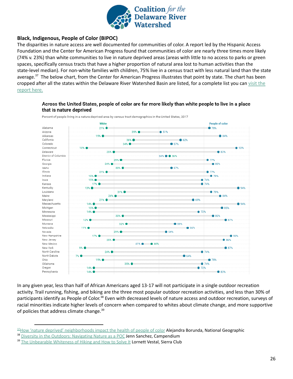

### **Black, Indigenous, People of Color (BIPOC)**

The disparities in nature access are well documented for communities of color. A report led by the Hispanic Access Foundation and the Center for American Progress found that communities of color are nearly three times more likely (74% v. 23%) than white communities to live in nature deprived areas (areas with little to no access to parks or green spaces, specifically census tracts that have a higher proportion of natural area lost to human activities than the state-level median). For non-white families with children, 75% live in a census tract with less natural land than the state average.<sup>37</sup> The below chart, from the Center for American Progress illustrates that point by state. The chart has been cropped after all the states within the Delaware River Watershed Basin are listed, for a complete list you can [visit](https://www.americanprogress.org/issues/green/reports/2020/07/21/487787/the-nature-gap/) the [report](https://www.americanprogress.org/issues/green/reports/2020/07/21/487787/the-nature-gap/) here.

#### Across the United States, people of color are far more likely than white people to live in a place that is nature deprived



Percent of people living in a nature-deprived area by census tract demographics in the United States, 2017

In any given year, less than half of African Americans aged 13-17 will not participate in a single outdoor recreation activity. Trail running, fishing, and biking are the three most popular outdoor recreation activities, and less than 30% of participants identify as People of Color.<sup>38</sup> Even with decreased levels of nature access and outdoor recreation, surveys of racial minorities indicate higher levels of concern when compared to whites about climate change, and more supportive of policies that address climate change.<sup>39</sup>

 $37$ How 'nature deprived' [neighborhoods](https://www.nationalgeographic.com/science/2020/07/how-nature-deprived-neighborhoods-impact-health-people-of-color/#close) impact the health of people of color Alejandra Borunda, National Geographic

<sup>&</sup>lt;sup>38</sup> Diversity in the Outdoors: [Navigating](https://www.campendium.com/camping/diversity-in-the-outdoors/) Nature as a POC Jenn Sanchez, Campendium

<sup>&</sup>lt;sup>39</sup> The [Unbearable](https://www.sierraclub.org/outdoors/2016/12/unbearable-whiteness-hiking-and-how-solve-it) Whiteness of Hiking and How to Solve It Lornett Vestal, Sierra Club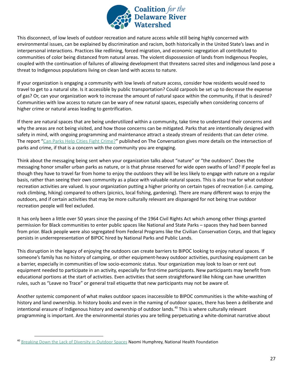

This disconnect, of low levels of outdoor recreation and nature access while still being highly concerned with environmental issues, can be explained by discrimination and racism, both historically in the United State's laws and in interpersonal interactions. Practices like redlining, forced migration, and economic segregation all contributed to communities of color being distanced from natural areas. The violent dispossession of lands from Indigenous Peoples, coupled with the continuation of failures of allowing development that threatens sacred sites and indigenous land pose a threat to Indigenous populations living on clean land with access to nature.

If your organization is engaging a community with low levels of nature access, consider how residents would need to travel to get to a natural site. Is it accessible by public transportation? Could carpools be set up to decrease the expense of gas? Or, can your organization work to increase the amount of natural space within the community, if that is desired? Communities with low access to nature can be wary of new natural spaces, especially when considering concerns of higher crime or natural areas leading to gentrification.

If there are natural spaces that are being underutilized within a community, take time to understand their concerns and why the areas are not being visited, and how those concerns can be mitigated. Parks that are intentionally designed with safety in mind, with ongoing programming and maintenance attract a steady stream of residents that can deter crime. The report "Can Parks Help Cities Fight [Crime?](https://theconversation.com/can-parks-help-cities-fight-crime-118322)" published on The Conversation gives more details on the intersection of parks and crime, if that is a concern with the community you are engaging.

Think about the messaging being sent when your organization talks about "nature" or "the outdoors". Does the messaging honor smaller urban parks as nature, or is that phrase reserved for wide open swaths of land? If people feel as though they have to travel far from home to enjoy the outdoors they will be less likely to engage with nature on a regular basis, rather than seeing their own community as a place with valuable natural spaces. This is also true for what outdoor recreation activities are valued. Is your organization putting a higher priority on certain types of recreation (i.e. camping, rock climbing, hiking) compared to others (picnics, local fishing, gardening). There are many different ways to enjoy the outdoors, and if certain activities that may be more culturally relevant are disparaged for not being true outdoor recreation people will feel excluded.

It has only been a little over 50 years since the passing of the 1964 Civil Rights Act which among other things granted permission for Black communities to enter public spaces like National and State Parks – spaces they had been banned from prior. Black people were also segregated from Federal Programs like the Civilian Conservation Corps, and that legacy persists in underrepresentation of BIPOC hired by National Parks and Public Lands.

This disruption in the legacy of enjoying the outdoors can create barriers to BIPOC looking to enjoy natural spaces. If someone's family has no history of camping, or other equipment-heavy outdoor activities, purchasing equipment can be a barrier, especially in communities of low socio-ecomonic status. Your organization may look to loan or rent out equipment needed to participate in an activity, especially for first-time participants. New participants may benefit from educational portions at the start of activities. Even activities that seem straightforward like hiking can have unwritten rules, such as "Leave no Trace" or general trail etiquette that new participants may not be aware of.

Another systemic component of what makes outdoor spaces inaccessible to BIPOC communities is the white-washing of history and land ownership. In history books and even in the naming of outdoor spaces, there has been a deliberate and intentional erasure of Indigenous history and ownership of outdoor lands.<sup>40</sup> This is where culturally relevant programming is important. Are the environmental stories you are telling perpetuating a white-dominat narrative about

<sup>&</sup>lt;sup>40</sup> [Breaking](https://nationalhealthfoundation.org/breaking-down-lack-diversity-outdoor-spaces/) Down the Lack of Diversity in Outdoor Spaces Naomi Humphrey, National Health Foundation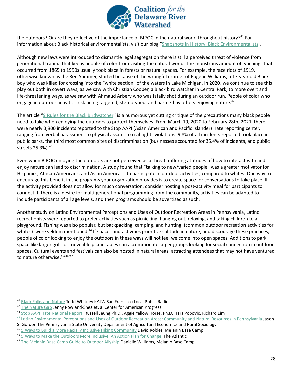

the outdoors? Or are they reflective of the importance of BIPOC in the natural world throughout history?<sup>41</sup> For information about Black historical environmentalists, visit our blog "Snapshots in History: Black [Environmentalists](http://www.delriverwatershed.org/news/2021/2/17/snapshots-in-history-black-environmentalists)".

Although new laws were introduced to dismantle legal segregation there is still a perceived threat of violence from generational trauma that keeps people of color from visiting the natural world. The monstrous amount of lynchings that occurred from 1865 to 1950s usually took place in forests or natural spaces. For example, the race riots of 1919, otherwise known as the Red Summer, started because of the wrongful murder of Eugene Williams, a 17-year old Black boy who was killed for crossing into the "white section" of the waters in Lake Michigan. In 2020, we continue to see this play out both in covert ways, as we saw with Christian Cooper, a Black bird watcher in Central Park, to more overt and life-threatening ways, as we saw with Ahmaud Arbery who was fatally shot during an outdoor run. People of color who engage in outdoor activities risk being targeted, stereotyped, and harmed by others enjoying nature.<sup>42</sup>

The article "9 Rules for the Black [Birdwatcher](https://orionmagazine.org/article/9-rules-for-the-black-birdwatcher/)" is a humorous yet cutting critique of the precautions many black people need to take when enjoying the outdoors to protect themselves. From March 19, 2020 to February 28th, 2021 there were nearly 3,800 incidents reported to the Stop AAPI (Asian American and Pacific Islander) Hate reporting center, ranging from verbal harassment to physical assault to civil rights violations. 9.8% of all incidents reported took place in public parks, the third most common sites of discrimmination (businesses accounted for 35.4% of incidents, and public streets 25.3%). 43

Even when BIPOC enjoying the outdoors are not perceived as a threat, differing attitudes of how to interact with and enjoy nature can lead to discrimination. A study found that "talking to new/varied people" was a greater motivator for Hispanics, African Americans, and Asian Americans to participate in outdoor activities, compared to whites. One way to encourage this benefit in the programs your organization provides is to create space for conversations to take place. If the activity provided does not allow for much conversation, consider hosting a post-activity meal for participants to connect. If there is a desire for multi-generational programming from the community, activities can be adapted to include participants of all age levels, and then programs should be advertised as such.

Another study on Latino Environmental Perceptions and Uses of Outdoor Recreation Areas in Pennsylvania, Latino recreationists were reported to prefer activities such as picnicking, hanging out, relaxing, and taking children to a playground. Fishing was also popular, but backpacking, camping, and hunting, (common outdoor recreation activities for whites) were seldom mentioned.<sup>44</sup> If spaces and activities prioritize solitude in nature, and discourage these practices, people of color looking to enjoy the outdoors in these ways will not feel welcome into open spaces. Additions to park space like larger grills or moveable picnic tables can accommodate larger groups looking for social connection in outdoor spaces. Cultural events and festivals can also be hosted in natural areas, attracting attendees that may not have ventured to nature otherwise.<sup>45,46,47</sup>

<sup>&</sup>lt;sup>41</sup> Black Folks and [Nature](https://www.kalw.org/post/black-folks-and-nature#stream/0) Todd Whitney KALW San Francisco Local Public Radio

<sup>&</sup>lt;sup>42</sup> The [Nature](https://www.americanprogress.org/issues/green/reports/2020/07/21/487787/the-nature-gap/) Gap Jenny Rowland-Shea et. al Center for American Progress

<sup>43</sup> Stop AAPI Hate [National](https://secureservercdn.net/104.238.69.231/a1w.90d.myftpupload.com/wp-content/uploads/2021/03/210312-Stop-AAPI-Hate-National-Report-.pdf) Report, Russell Jeung Ph.D., Aggie Yellow Horse, Ph.D., Tara Popovic, Richard Lim

<sup>&</sup>lt;sup>44</sup> Latino [Environmental](https://etda.libraries.psu.edu/files/final_submissions/2998) Perceptions and Uses of Outdoor Recreation Areas: Community and Natural Resources in Pennsylvania Jason

S. Gordon The Pennsylvania State University Department of Agricultural Economics and Rural Sociology

<sup>&</sup>lt;sup>45</sup> 5 Ways to Build a More Racially Inclusive Hiking [Community](https://www.melaninbasecamp.com/trip-reports/2020/9/29/5-ways-to-build-a-more-racially-inclusive-hiking-community) David Robles, Melanin Base Camp

<sup>46</sup> 5 Ways to Make the [Outdoors](https://www.theatlantic.com/sponsored/rei-2018/five-ways-to-make-the-outdoors-more-inclusive/3019/) More Inclusive: An Action Plan for Change, The Atlantic

<sup>&</sup>lt;sup>47</sup> The Melanin Base Camp Guide to [Outdoor](https://www.melaninbasecamp.com/trip-reports/2019/7/7/mbc-guide-to-outdoor-allyship) Allyship Danielle Williams, Melanin Base Camp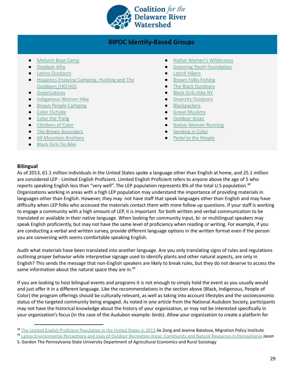

### **BIPOC Identity-Based Groups**

- [Melanin](https://www.melaninbasecamp.com/) Base Camp
- [Outdoor](https://outdoorafro.com/) Afro
- Latino [Outdoors](https://latinooutdoors.org/)
- Hispanics Enjoying [Camping,](https://www.hechoonline.org/) Hunting and The [Outdoors](https://www.hechoonline.org/) (HECHO)
- [GreenLatinos](http://www.greenlatinos.org/)
- [Indigenous](https://www.facebook.com/indigenouswomenhike/) Women Hike
- Brown People [Camping](https://www.brownpeoplecamping.com/)
- Color [Outside](https://coloroutside.org/)
- [Color](http://www.colourthetrails.com/) the Trails
- [Climbers](https://www.climbersofcolor.org/) of Color
- The Brown [Ascenders](https://www.thebrownascenders.org/)
- All [Mountain](https://www.instagram.com/allmountainbrothers/) Brothers
- [Black](https://www.blackgirlsdobike.com/) Girls Do Bike
- **Native Women's [Wilderness](https://www.nativewomenswilderness.org/)**
- **Greening Youth [Foundation](https://gyfoundation.org/)**
- [LatinX](https://www.latinxhikers.com/) Hikers
- **Brown Folks [Fishing](https://www.brownfolksfishing.com/)**
- The Black [Outdoors](https://www.theblackoutdoors.com/)
- [Black](https://www.facebook.com/BlackGirlsHikeNewYork) Girls Hike NY
- Diversity [Outdoors](https://www.diversifyoutdoors.com/)
- [Blackpackers](https://www.americantrails.org/organizations/blackpackers)
- **Green [Muslims](https://www.greenmuslims.org/)**
- **[Outdoor](https://www.outdoorasian.com/) Asian**
- **Native Women [Running](https://www.nativewomenrunning.com/)**
- [Sending](https://sendingincolor.com/) in Color
- Pedal to the [People](https://www.instagram.com/pedal2thepeople/)

### <span id="page-30-0"></span>**Bilingual**

As of 2013, 61.1 million individuals in the United States spoke a language other than English at home, and 25.1 million are considered LEP - Limited English Proficient. Limited English Proficient refers to anyone above the age of 5 who reports speaking English less than "very well". The LEP population represents 8% of the total U.S population.<sup>48</sup> Organizations working in areas with a high LEP population may understand the importance of providing materials in languages other than English. However, they may not have staff that speak languages other than English and may have difficulty when LEP folks who accessed the materials contact them with more follow up questions. If your staff is working to engage a community with a high amount of LEP, it is important for both written and verbal communication to be translated or available in their native language. When looking for community input, bi- or multilingual speakers may speak English proficiently, but may not have the same level of proficiency when reading or writing. For example, if you are conducting a verbal and written survey, provide different language options in the written format even if the person you are conversing with seems comfortable speaking English.

Audit what materials have been translated into another language. Are you only translating signs of rules and regulations outlining proper behavior while interpretive signage used to identify plants and other natural aspects, are only in English? This sends the message that non-English speakers are likely to break rules, but they do not deserve to access the same information about the natural space they are in.<sup>49</sup>

If you are looking to host bilingual events and programs it is not enough to simply hold the event as you usually would and just offer it in a different language. Like the recommendations in the section above (Black, Indigenous, People of Color) the program offerings should be culturally relevant, as well as taking into account lifestyles and the socioeconomic status of the targeted community being engaged. As noted in one article from the National Audubon Society, participants may not have the historical knowledge about the history of your organization, or may not be interested specifically in your organization's focus (in the case of the Audubon example: birds). Allow your organization to create a platform for

<sup>&</sup>lt;sup>48</sup> The Limited English Proficient [Population](https://www.migrationpolicy.org/article/limited-english-proficient-population-united-states-2013#:~:text=Overall%2C%20the%20LEP%20population%20represented,million%20(see%20Figure%201).) in the United States in 2013 Jie Zong and Jeanne Batalova, Migration Policy Institute

<sup>&</sup>lt;sup>49</sup> Latino [Environmental](https://etda.libraries.psu.edu/files/final_submissions/2998) Perceptions and Uses of Outdoor Recreation Areas: Community and Natural Resources in Pennsylvania Jason

S. Gordon The Pennsylvania State University Department of Agricultural Economics and Rural Sociology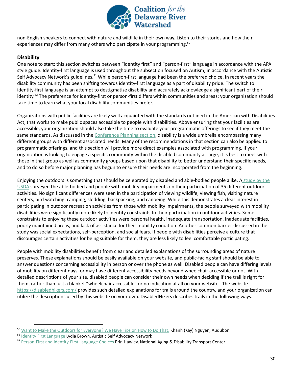

non-English speakers to connect with nature and wildlife in their own way. Listen to their stories and how their experiences may differ from many others who participate in your programming.<sup>50</sup>

### <span id="page-31-0"></span>**Disability**

One note to start: this section switches between "identity first" and "person-first" language in accordance with the APA style guide. Identity-first language is used throughout the subsection focused on Autism, in accordance with the Autistic Self Advocacy Network's guidelines.<sup>51</sup> While person-first language had been the preferred choice, in recent years the disability community has been shifting towards identity-first language as a part of disability pride. The switch to identity-first language is an attempt to destigmatize disability and accurately acknowledge a significant part of their identity.<sup>52</sup> The preference for identity-first or person-first differs within communities and areas; your organization should take time to learn what your local disability communities prefer.

Organizations with public facilities are likely well acquainted with the standards outlined in the American with Disabilities Act, that works to make public spaces accessible to people with disabilities. Above ensuring that your facilities are accessible, your organization should also take the time to evaluate your programmatic offerings to see if they meet the same standards. As discussed in the [Conference](#page-14-1) Planning section, disability is a wide umbrella encompassing many different groups with different associated needs. Many of the recommendations in that section can also be applied to programmatic offerings, and this section will provide more direct examples associated with programming. If your organization is looking to engage a specific community within the disabled community at large, it is best to meet with those in that group as well as community groups based upon that disability to better understand their specific needs, and to do so before major planning has begun to ensure their needs are incorporated from the beginning.

Enjoying the outdoors is something that should be celebrated by disabled and able-bodied people alike. A [study](https://www.srs.fs.usda.gov/pubs/ja/ja_williams006.pdf) by the [USDA](https://www.srs.fs.usda.gov/pubs/ja/ja_williams006.pdf) surveyed the able-bodied and people with mobility impairments on their participation of 35 different outdoor activities. No significant differences were seen in the participation of viewing wildlife, viewing fish, visiting nature centers, bird watching, camping, sledding, backpacking, and canoeing. While this demonstrates a clear interest in participating in outdoor recreation activities from those with mobility impairments, the people surveyed with mobility disabilities were significantly more likely to identify constraints to their participation in outdoor activities. Some constraints to enjoying these outdoor activities were personal health, inadequate transportation, inadequate facilities, poorly maintained areas, and lack of assistance for their mobility condition. Another common barrier discussed in the study was social expectations, self-perception, and social fears. If people with disabilities perceive a culture that discourages certain activities for being suitable for them, they are less likely to feel comfortable participating.

People with mobility disabilities benefit from clear and detailed explanations of the surrounding areas of nature preserves. These explanations should be easily available on your website, and public-facing staff should be able to answer questions concerning accessibility in person or over the phone as well. Disabled people can have differing levels of mobility on different days, or may have different accessibility needs beyond wheelchair accessible or not. With detailed descriptions of your site, disabled people can consider their own needs when deciding if the trail is right for them, rather than just a blanket "wheelchair accessible" or no indication at all on your website. The website <https://disabledhikers.com/> provides such detailed explanations for trails around the country, and your organization can utilize the descriptions used by this website on your own. DisabledHikers describes trails in the following ways:

<sup>&</sup>lt;sup>50</sup> Want to Make the Outdoors for [Everyone?](https://www.audubon.org/news/want-make-outdoors-everyone-we-have-tips-how-do) We Have Tips on How to Do That. Khanh (Kay) Nguyen, Audubon

<sup>&</sup>lt;sup>51</sup> Identity First [Language](https://autisticadvocacy.org/about-asan/identity-first-language/) Lydia Brown, Autistic Self Advocacy Network

<sup>52</sup> Person-First and [Identity-First](https://www.nadtc.org/news/blog/person-first-and-identity-first-language-choices/#:~:text=In%20recent%20years%2C%20some%20people,nothing%20to%20be%20ashamed%20of.) Language Choices Erin Hawley, National Aging & Disability Transport Center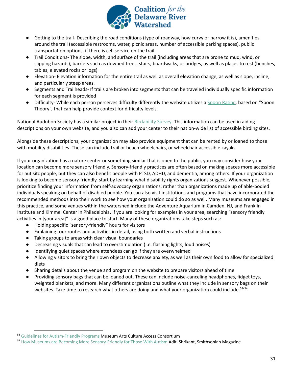

- Getting to the trail- Describing the road conditions (type of roadway, how curvy or narrow it is), amenities around the trail (accessible restrooms, water, picnic areas, number of accessible parking spaces), public transportation options, if there is cell service on the trail
- Trail Conditions- The slope, width, and surface of the trail (including areas that are prone to mud, wind, or slipping hazards), barriers such as downed trees, stairs, boardwalks, or bridges, as well as places to rest (benches, tables, elevated rocks or logs)
- Elevation- Elevation information for the entire trail as well as overall elevation change, as well as slope, incline, and particularly steep areas.
- Segments and Trailheads- If trails are broken into segments that can be traveled individually specific information for each segment is provided
- Difficulty- While each person perceives difficulty differently the website utilizes a Spoon [Rating,](https://disabledhikers.com/spoon-rating-guide/) based on "Spoon Theory", that can help provide context for difficulty levels.

National Audubon Society has a similar project in their [Birdability](https://gis.audubon.org/Birdability/) Survey. This information can be used in aiding descriptions on your own website, and you also can add your center to their nation-wide list of accessible birding sites.

Alongside these descriptions, your organization may also provide equipment that can be rented by or loaned to those with mobility disabilities. These can include trail or beach wheelchairs, or wheelchair accessible kayaks.

If your organization has a nature center or something similar that is open to the public, you may consider how your location can become more sensory friendly. Sensory-friendly practices are often based on making spaces more accessible for autisitc people, but they can also benefit people with PTSD, ADHD, and dementia, among others. If your organization is looking to become sensory-friendly, start by learning what disability rights organizations suggest. Whenever possible, prioritize finding your information from self-advocacy organizations, rather than organizations made up of able-bodied individuals speaking on behalf of disabled people. You can also visit institutions and programs that have incorporated the recommended methods into their work to see how your organization could do so as well. Many museums are engaged in this practice, and some venues within the watershed include the Adventure Aquarium in Camden, NJ, and Franklin Institute and Kimmel Center in Philadelphia. If you are looking for examples in your area, searching "sensory friendly activities in [your area]" is a good place to start. Many of these organizations take steps such as:

- Holding specific "sensory-friendly" hours for visitors
- Explaining tour routes and activities in detail, using both written and verbal instructions
- Taking groups to areas with clear visual boundaries
- Decreasing visuals that can lead to overstimulation (i.e. flashing lights, loud noises)
- Identifying quiet spaces where attendees can go if they are overwhelmed
- Allowing visitors to bring their own objects to decrease anxiety, as well as their own food to allow for specialized diets
- Sharing details about the venue and program on the website to prepare visitors ahead of time
- Providing sensory bags that can be loaned out. These can include noise-canceling headphones, fidget toys, weighted blankets, and more. Many different organizations outline what they include in sensory bags on their websites. Take time to research what others are doing and what your organization could include.<sup>53/54</sup>

<sup>53</sup> Guidelines for [Autism-Friendly](https://macaccess.org/rescources/guidelines-for-autism-friendly-programs/) Programs Museum Arts Culture Access Consortium

<sup>54</sup> How Museums are Becoming More [Sensory-Friendly](https://www.smithsonianmag.com/innovation/how-museums-are-becoming-more-sensory-friendly-for-those-with-autism-180967740/) for Those With Autism Aditi Shrikant, Smithsonian Magazine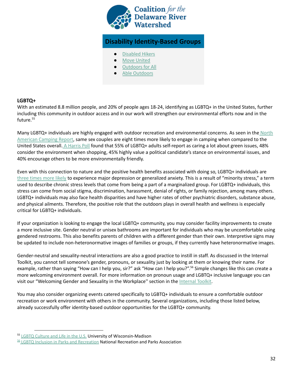

## **Disability Identity-Based Groups**

- [Disabled](https://disabledhikers.com/) Hikers
- **Move [United](https://www.moveunitedsport.org/sport/hiking/)**
- **[Outdoors](https://outdoorsforall.org/) for All**
- **Able [Outdoors](https://ableoutdoors.net/)**

### <span id="page-33-0"></span>**LGBTQ+**

With an estimated 8.8 million people, and 20% of people ages 18-24, identifying as LGBTQ+ in the United States, further including this community in outdoor access and in our work will strengthen our environmental efforts now and in the future. 55

Many LGBTQ+ individuals are highly engaged with outdoor recreation and environmental concerns. As seen in the [North](http://koa.uberflip.com/i/1101994-2019-koa-north-american-camping-report/9?m4=) [American](http://koa.uberflip.com/i/1101994-2019-koa-north-american-camping-report/9?m4=) Camping Report, same sex couples are eight times more likely to engage in camping when compared to the United States overall. A [Harris](https://theharrispoll.com/new-york-n-y-january-10-2011-when-it-comes-to-the-environment-there-is-an-interesting-difference-in-who-is-and-who-is-not-green-lesbian-gay-bisexual-and-or-transgender-lgbt-adults-are-gre/) Poll found that 55% of LGBTQ+ adults self-report as caring a lot about green issues, 48% consider the environment when shopping, 45% highly value a political candidate's stance on environmental issues, and 40% encourage others to be more environmentally friendly.

Even with this connection to nature and the positive health benefits associated with doing so, LGBTQ+ individuals ar[e](https://www.alderhealth.org/news-events/blog.html/article/2018/02/01/the-importance-of-talking-about-mental-health?gclid=Cj0KCQjwiYL3BRDVARIsAF9E4GekqKAddGDOCQvrpInL8kBSNoGYz3aedn7Vu4lce0-HbwYOyl95cTMaAtZAEALw_wcB) three [times](https://www.alderhealth.org/news-events/blog.html/article/2018/02/01/the-importance-of-talking-about-mental-health?gclid=Cj0KCQjwiYL3BRDVARIsAF9E4GekqKAddGDOCQvrpInL8kBSNoGYz3aedn7Vu4lce0-HbwYOyl95cTMaAtZAEALw_wcB) more likely to experience major depression or generalized anxiety. This is a result of "minority stress," a term used to describe chronic stress levels that come from being a part of a marginalized group. For LGBTQ+ individuals, this stress can come from social stigma, discrimination, harassment, denial of rights, or family rejection, among many others. LGBTQ+ individuals may also face health disparities and have higher rates of other psychiatric disorders, substance abuse, and physical ailments. Therefore, the positive role that the outdoors plays in overall health and wellness is especially critical for LGBTQ+ individuals.

If your organization is looking to engage the local LGBTQ+ community, you may consider facility improvements to create a more inclusive site. Gender neutral or unisex bathrooms are important for individuals who may be uncomfortable using gendered restrooms. This also benefits parents of children with a different gender than their own. Interpretive signs may be updated to include non-heteronormative images of families or groups, if they currently have heteronormative images.

Gender-neutral and sexuality-neutral interactions are also a good practice to instill in staff. As discussed in the Internal Toolkit, you cannot tell someone's gender, pronouns, or sexuality just by looking at them or knowing their name. For example, rather than saying "How can I help you, sir?" ask "How can I help you?".<sup>56</sup> Simple changes like this can create a more welcoming environment overall. For more information on pronoun usage and LGBTQ+ inclusive language you can visit our "Welcoming Gender and Sexuality in the Workplace" section in the [Internal](https://docs.google.com/document/d/1kB43CqTD_7DFu7gAQkRbDtDfXn4ClqWg_dQNGRBRR3w/edit) Toolkit.

You may also consider organizing events catered specifically to LGBTQ+ individuals to ensure a comfortable outdoor recreation or work environment with others in the community. Several organizations, including those listed below, already successfully offer identity-based outdoor opportunities for the LGBTQ+ community.

<sup>55</sup> LGBTQ [Culture](https://iss.wisc.edu/resources/lgbtq/lgbtq-culture-2/lgbtq-culture/) and Life in the U.S. University of Wisconsin-Madison

<sup>56</sup> LGBTQ Inclusion in Parks and [Recreation](https://www.nrpa.org/contentassets/b1f3a10f8b58405d907b053edb803282/parksforinclusion-lgbtq.pdf) National Recreation and Parks Association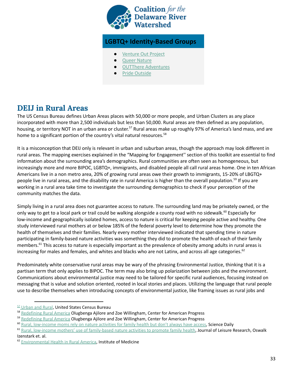

### **LGBTQ+ Identity-Based Groups**

- [Venture](https://www.ventureoutproject.com/) Out Project
- **Queer [Nature](https://www.queernature.org/)**
- **OUTThere [Adventures](http://www.outthereadventures.org/)**
- **Pride [Outside](https://www.facebook.com/PrideOutside1/)**

# <span id="page-34-0"></span>**DEIJ in Rural Areas**

The US Census Bureau defines Urban Areas places with 50,000 or more people, and Urban Clusters as any place incorporated with more than 2,500 individuals but less than 50,000. Rural areas are then defined as any population, housing, or territory NOT in an urban area or cluster.<sup>57</sup> Rural areas make up roughly 97% of America's land mass, and are home to a significant portion of the country's vital natural resources.<sup>58</sup>

It is a misconception that DEIJ only is relevant in urban and suburban areas, though the approach may look different in rural areas. The mapping exercises explained in the "Mapping for Engagement'' section of this toolkit are essential to find information about the surrounding area's demographics. Rural communities are often seen as homogeneous, but increasingly more and more BIPOC, LGBTQ+, immigrants, and disabled people all call rural areas home. One in ten African Americans live in a non metro area, 20% of growing rural areas owe their growth to immigrants, 15-20% of LBGTQ+ people live in rural areas, and the disability rate in rural America is higher than the overall population.<sup>59</sup> If you are working in a rural area take time to investigate the surrounding demographics to check if your perception of the community matches the data.

Simply living in a rural area does not guarantee access to nature. The surrounding land may be privately owned, or the only way to get to a local park or trail could be walking alongside a county road with no sidewalk.<sup>60</sup> Especially for low-income and geographically isolated homes, access to nature is critical for keeping people active and healthy. One study interviewed rural mothers at or below 185% of the federal poverty level to determine how they promote the health of themselves and their families. Nearly every mother interviewed indicated that spending time in nature participating in family-based nature activities was something they did to promote the health of each of their family members.<sup>61</sup> This access to nature is especially important as the prevalence of obesity among adults in rural areas is increasing for males and females, and whites and blacks who are not Latinx, and across all age categories. 62

Predominately white conservative rural areas may be wary of the phrasing Environmental Justice, thinking that it is a partisan term that only applies to BIPOC. The term may also bring up polarization between jobs and the environment. Communications about environmental justice may need to be tailored for specific rural audiences, focusing instead on messaging that is value and solution oriented, rooted in local stories and places. Utilizing the language that rural people use to describe themselves when introducing concepts of environmental justice, like framing issues as rural jobs and

<sup>57</sup> [Urban](https://www.census.gov/programs-surveys/geography/guidance/geo-areas/urban-rural.html) and Rural, United States Census Bureau

<sup>&</sup>lt;sup>58</sup> [Redefining](https://www.americanprogress.org/issues/economy/reports/2019/07/17/471877/redefining-rural-america/) Rural America Olugbenga Ajilore and Zoe Willingham, Center for American Progress

<sup>&</sup>lt;sup>59</sup> [Redefining](https://www.americanprogress.org/issues/economy/reports/2019/07/17/471877/redefining-rural-america/) Rural America Olugbenga Ajilore and Zoe Willingham, Center for American Progress

<sup>&</sup>lt;sup>60</sup> Rural, [low-income](https://www.sciencedaily.com/releases/2016/05/160520120624.htm) moms rely on nature activities for family health but don't always have access, Science Daily

<sup>&</sup>lt;sup>61</sup> Rural, low-income mothers' use of [family-based](https://research.childrenandnature.org/research/rural-low-income-mothers-identify-access-to-free-nature-based-recreational-opportunities-as-a-major-contributor-to-the-health-of-individual-family-members-and-healthy-family-functioning/) nature activities to promote family health, Journal of Leisure Research, Oswalk Izenstark et. al.

<sup>&</sup>lt;sup>62</sup> [Environmental](https://www.ncbi.nlm.nih.gov/books/NBK56977/) Health in Rural America, Institute of Medicine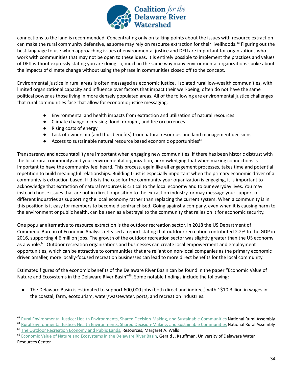

connections to the land is recommended. Concentrating only on talking points about the issues with resource extraction can make the rural community defensive, as some may rely on resource extraction for their livelihoods.<sup>63</sup> Figuring out the best language to use when approaching issues of environmental justice and DEIJ are important for organizations who work with communities that may not be open to these ideas. It is entirely possible to implement the practices and values of DEIJ without expressly stating you are doing so, much in the same way many environmental organizations spoke about the impacts of climate change without using the phrase in communities closed off to the concept.

Environmental justice in rural areas is often messaged as economic justice. Isolated rural low-wealth communities, with limited organizational capacity and influence over factors that impact their well-being, often do not have the same political power as those living in more densely populated areas. All of the following are environmental justice challenges that rural communities face that allow for economic justice messaging:

- Environmental and health impacts from extraction and utilization of natural resources
- Climate change increasing flood, drought, and fire occurrences
- Rising costs of energy
- Lack of ownership (and thus benefits) from natural resources and land management decisions
- Access to sustainable natural resource based economic opportunities<sup>64</sup>

Transparency and accountability are important when engaging new communities. If there has been historic distrust with the local rural community and your environmental organization, acknowledging that when making connections is important to have the community feel heard. This process, again like all engagement processes, takes time and potential repetition to build meaningful relationships. Building trust is especially important when the primary economic driver of a community is extraction based. If this is the case for the community your organization is engaging, it is important to acknowledge that extraction of natural resources is critical to the local economy and to our everyday lives. You may instead choose issues that are not in direct opposition to the extraction industry, or may message your support of different industries as supporting the local economy rather than replacing the current system. When a community is in this position is it easy for members to become disenfranchised. Going against a company, even when it is causing harm to the environment or public health, can be seen as a betrayal to the community that relies on it for economic security.

One popular alternative to resource extraction is the outdoor recreation sector. In 2018 the US Department of Commerce Bureau of Economic Analysis released a report stating that outdoor recreation contributed 2.2% to the GDP in 2016, supporting 4.6 million jobs. The growth of the outdoor recreation sector was slightly greater than the US economy as a whole.<sup>65</sup> Outdoor recreation organizations and businesses can create local empowerment and employment opportunities, which can be attractive to communities that are reliant on non-local companies as the primary economic driver. Smaller, more locally-focused recreation businesses can lead to more direct benefits for the local community.

Estimated figures of the economic benefits of the Delaware River Basin can be found in the paper "Economic Value of Nature and Ecosystems in the Delaware River Basin"<sup>66</sup>. Some notable findings include the following:

● The Delaware Basin is estimated to support 600,000 jobs (both direct and indirect) with ~\$10 Billion in wages in the coastal, farm, ecotourism, water/wastewater, ports, and recreation industries.

<sup>&</sup>lt;sup>63</sup> Rural Environmental Justice: Health Environments, Shared [Decision-Making,](https://static1.squarespace.com/static/5134e05de4b060819b1457f8/t/51968bf2e4b0a695733a5bf1/1368820722252/EnviroJustice_Policy_Paper.pdf) and Sustainable Communities National Rural Assembly

<sup>&</sup>lt;sup>64</sup> Rural Environmental Justice: Health Environments, Shared [Decision-Making,](https://static1.squarespace.com/static/5134e05de4b060819b1457f8/t/51968bf2e4b0a695733a5bf1/1368820722252/EnviroJustice_Policy_Paper.pdf) and Sustainable Communities National Rural Assembly

<sup>&</sup>lt;sup>65</sup> The Outdoor [Recreation](https://www.resources.org/archives/the-outdoor-recreation-economy-and-public-lands/) Economy and Public Lands, Resources, Margaret A. Walls

<sup>&</sup>lt;sup>66</sup> Economic Value of Nature and [Ecosystems](https://onlinelibrary.wiley.com/doi/full/10.1111/j.1936-704X.2016.03222.x) in the Delaware River Basin, Gerald J. Kauffman, University of Delaware Water Resources Center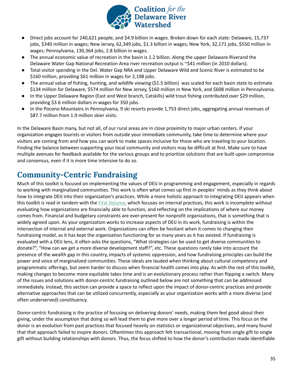

- Direct jobs account for 240,621 people, and \$4.9 billion in wages. Broken down for each state: Delaware, 15,737 jobs, \$340 million in wages; New Jersey, 62,349 jobs, \$1.3 billion in wages; New York, 32,171 jobs, \$550 million in wages; Pennsylvania, 130,364 jobs, 2.8 billion in wages.
- The annual economic value of recreation in the basin is 1.2 billion. Along the upper Delaware Riverand the Delaware Water Gap National Recreation Area river recreation output is ~\$41 million (in 2010 dollars).
- Total visitor spending in the Del. Water Gap NRA and Upper Delaware Wild and Scenic River is estimated to be \$160 million, providing \$61 million in wages for 2,198 jobs.
- The annual value of fishing, hunting, and wildlife viewing (\$1.5 billion) was scaled for each basin state to estimate \$134 million for Delaware, \$574 million for New Jersey, \$160 million in New York, and \$608 million in Pennsylvania.
- In the Upper Delaware Region (East and West branch, Catskills) wild trout fishing contributed over \$29 million, providing \$3.6 million dollars in wages for 350 jobs.
- In the Pocono Mountains in Pennsylvania, 9 ski resorts provide 1,753 direct jobs, aggregating annual revenues of \$87.7 million from 1.9 million skier visits.

In the Delaware Basin many, but not all, of our rural areas are in close proximity to major urban centers. If your organization engages tourists or visitors from outside your immediate community, take time to determine where your visitors are coming from and how you can work to make spaces inclusive for those who are traveling to your location. Finding the balance between supporting your local community and visitors may be difficult at first. Make sure to have multiple avenues for feedback available for the various groups and to prioritize solutions that are built upon compromise and consensus, even if it is more time intensive to do so.

# <span id="page-36-0"></span>**Community-Centric Fundraising**

Much of this toolkit is focused on implementing the values of DEIJ in programming and engagement, especially in regards to working with marginalized communities. This work is often what comes up first in peoples' minds as they think about how to integrate DEIJ into their organization's practices. While a more holistic approach to integrating DEIJ appears when this toolkit is read in tandem with the First [Volume](https://docs.google.com/document/u/0/d/118PUoiKwt1VT6XPf8LhN6B7ZydM8MiR1jjOz2g-2PwQ/edit), which focuses on internal practices, this work is incomplete without evaluating how organizations are financially able to function, and reflecting on the implications of where our money comes from. Financial and budgetary constraints are ever-present for nonprofit organizations, that is something that is widely agreed upon. As your organization works to increase aspects of DEIJ in its work, fundraising is within the intersection of internal and external work. Organizations can often be hesitant when it comes to changing their fundraising model, as it has kept the organization functioning for as many years as it has existed. If fundraising is evaluated with a DEIJ lens, it often asks the questions, "What strategies can be used to get diverse communities to donate?", "How can we get a more diverse development staff?", etc. These questions rarely take into account the presence of the wealth gap in this country, impacts of systemic oppression, and how fundraising principles can build the power and voice of marginalized communities. These ideals are lauded when thinking about cultural competency and programmatic offerings, but seem harder to discuss when financial health comes into play. As with the rest of this toolkit, making changes to become more equitable takes time and is an evolutionary process rather than flipping a switch. Many of the issues and solutions with donor-centric fundraising outlined below are not something that can be addressed immediately. Instead, this section can provide a space to reflect upon the impact of donor-centric practices and provide alternative approaches that can be utilized concurrently, especially as your organization works with a more diverse (and often underserved) constituency.

Donor-centric fundraising is the practice of focusing on delivering donors' needs, making them feel good about their giving, under the assumption that doing so will lead them to give more over a longer period of time. This focus on the donor is an evolution from past practices that focused heavily on statistics or organizational objectives, and many found that that approach failed to inspire donors. Oftentimes this approach felt transactional, moving from single gift to single gift without building relationships with donors. Thus, the focus shifted to how the donor's contribution made identifiable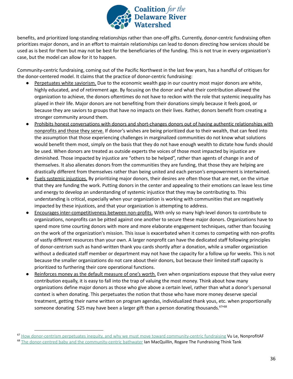

benefits, and prioritized long-standing relationships rather than one-off gifts. Currently, donor-centric fundraising often prioritizes major donors, and in an effort to maintain relationships can lead to donors directing how services should be used as is best for them but may not be best for the beneficiaries of the funding. This is not true in every organization's case, but the model can allow for it to happen.

Community-centric fundraising, coming out of the Pacific Northwest in the last few years, has a handful of critiques for the donor-centered model. It claims that the practice of donor-centric fundraising:

- Perpetuates white saviorism. Due to the economic wealth gap in our country most major donors are white, highly educated, and of retirement age. By focusing on the donor and what their contribution allowed the organization to achieve, the donors oftentimes do not have to reckon with the role that systemic inequality has played in their life. Major donors are not benefiting from their donations simply because it feels good, or because they are saviors to groups that have no impacts on their lives. Rather, donors benefit from creating a stronger community around them.
- Prohibits honest conversations with donors and short-changes donors out of having authentic relationships with nonprofits and those they serve. If donor's wishes are being prioritized due to their wealth, that can feed into the assumption that those experiencing challenges in marginalized communities do not know what solutions would benefit them most, simply on the basis that they do not have enough wealth to dictate how funds should be used. When donors are treated as outside experts the voices of those most impacted by injustice are diminished. Those impacted by injustice are "others to be helped", rather than agents of change in and of themselves. It also alienates donors from the communities they are funding, that those they are helping are drastically different from themselves rather than being united and each person's empowerment is intertwined.
- Fuels systemic injustices. By prioritizing major donors, their desires are often those that are met, on the virtue that they are funding the work. Putting donors in the center and appealing to their emotions can leave less time and energy to develop an understanding of systemic injustice that they may be contributing to. This understanding is critical, especially when your organization is working with communities that are negatively impacted by these injustices, and that your organization is attempting to address.
- Encourages inter-competitiveness between non-profits. With only so many high-level donors to contribute to organizations, nonprofits can be pitted against one another to secure these major donors. Organizations have to spend more time courting donors with more and more elaborate engagement techniques, rather than focusing on the work of the organization's mission. This issue is exacerbated when it comes to competing with non-profits of vastly different resources than your own. A larger nonprofit can have the dedicated staff following principles of donor-centrism such as hand-written thank you cards shortly after a donation, while a smaller organization without a dedicated staff member or department may not have the capacity for a follow up for weeks. This is not because the smaller organizations do not care about their donors, but because their limited staff capacity is prioritized to furthering their core operational functions.
- Reinforces money as the default measure of one's worth. Even when organizations espouse that they value every contribution equally, it is easy to fall into the trap of valuing the most money. Think about how many organizations define major donors as those who give above a certain level, rather than what a donor's personal context is when donating. This perpetuates the notion that those who have more money deserve special treatment, getting their name written on program agendas, individualized thank yous, etc. when proportionally someone donating \$25 may have been a larger gift than a person donating thousands.  $67/68$

<sup>&</sup>lt;sup>67</sup> How donor-centrism perpetuates inequity, and why we must move toward [community-centric](https://nonprofitaf.com/2017/05/how-donor-centrism-perpetuates-inequity-and-why-we-must-move-toward-community-centric-fundraising/) fundraising Vu Le, NonprofitAF

<sup>&</sup>lt;sup>68</sup> The donor-centred baby and the [community-centric](https://df618d67-1d77-4718-ac14-01d78db8f9d0.filesusr.com/ugd/8bc141_6f4d7881b4564223b9c373b8f0692604.pdf) bathwater Ian MacQuillin, Rogare The Fundraising Think Tank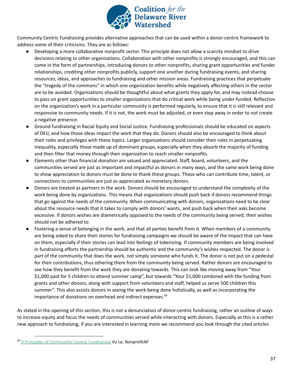

Community Centric Fundraising provides alternative approaches that can be used within a donor-centric framework to address some of their criticisms. They are as follows:

- Developing a more collaborative nonprofit sector. This principle does not allow a scarcity mindset to drive decisions relating to other organizations. Collaboration with other nonprofits is strongly encouraged, and this can come in the form of partnerships, introducing donors to other nonprofits, sharing grant opportunities and funder relationships, crediting other nonprofits publicly, support one another during fundraising events, and sharing resources, ideas, and approaches to fundraising and other mission areas. Fundraising practices that perpetuate the "tragedy of the commons" in which one organization benefits while negatively affecting others in the sector are to be avoided. Organizations should be thoughtful about what grants they apply for, and may instead choose to pass on grant opportunities to smaller organizations that do critical work while being under-funded. Reflection on the organization's work in a particular community is performed regularly, to ensure that it is still relevant and responsive to community needs. If it is not, the work must be adjusted, or even step away in order to not create a negative presence.
- Ground fundraising in Racial Equity and Social Justice. Fundraising professionals should be educated on aspects of DEIJ, and how those ideas impact the work that they do. Donors should also be encouraged to think about their roles and privileges with these topics. Larger organizations should consider their roles in perpetuating inequality, especially those made up of dominant groups, especially when they absorb the majority of funding and then filter that money through their organization to reach smaller nonprofits.
- Elements other than financial donation are valued and appreciated. Staff, board, volunteers, and the communities served are just as important and impactful as donors in many ways, and the same work being done to show appreciation to donors must be done to thank these groups. Those who can contribute time, talent, or connections to communities are just as appreciated as monetary donors.
- Donors are treated as partners in the work. Donors should be encouraged to understand the complexity of the work being done by organizations. This means that organizations should push back if donors recommend things that go against the needs of the community. When communicating with donors, organizations need to be clear about the resource needs that it takes to comply with donors' wants, and push back when their asks become excessive. If donors wishes are diametrically opposed to the needs of the community being served, their wishes should not be adhered to.
- Fostering a sense of belonging in the work, and that all parties benefit from it. When members of a community are being asked to share their stories for fundraising campaigns we should be aware of the impact that can have on them, especially if their stories can lead into feelings of tokenizing. If community members are being involved in fundraising efforts the partnership should be authentic and the community's wishes respected. The donor is part of the community that does the work, not simply someone who funds it. The donor is not put on a pedestal for their contributions, thus othering them from the community being served. Rather donors are encouraged to see how they benefit from the work they are donating towards. This can look like moving away from "Your \$1,000 paid for 5 children to attend summer camp", but towards "Your \$1,000 combined with the funding from grants and other donors, along with support from volunteers and staff, helped us serve 500 children this summer". This also assists donors in seeing the work being done holistically, as well as incorporating the importance of donations on overhead and indirect expenses. 69

As stated in the opening of this section, this is not a denunciation of donor-centric fundraising, rather an outline of ways to increase equity and focus the needs of communities served while interacting with donors. Especially as this is a rather new approach to fundraising, if you are interested in learning more we recommend you look through the cited articles

<sup>&</sup>lt;sup>69</sup> 9 Principles of [Community-Centric](https://nonprofitaf.com/2017/05/9-principles-of-community-centric-fundraising/) Fundraising Vu Le, NonprofitAF